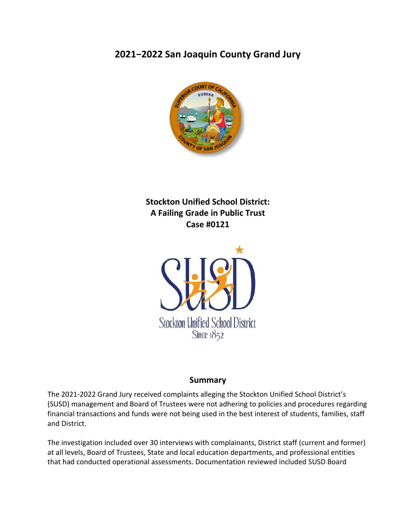# **2021−2022 San Joaquin County Grand Jury**



# **Stockton Unified School District: A Failing Grade in Public Trust Case #0121**



### **Summary**

The 2021-2022 Grand Jury received complaints alleging the Stockton Unified School District's (SUSD) management and Board of Trustees were not adhering to policies and procedures regarding financial transactions and funds were not being used in the best interest of students, families, staff and District.

The investigation included over 30 interviews with complainants, District staff (current and former) at all levels, Board of Trustees, State and local education departments, and professional entities that had conducted operational assessments. Documentation reviewed included SUSD Board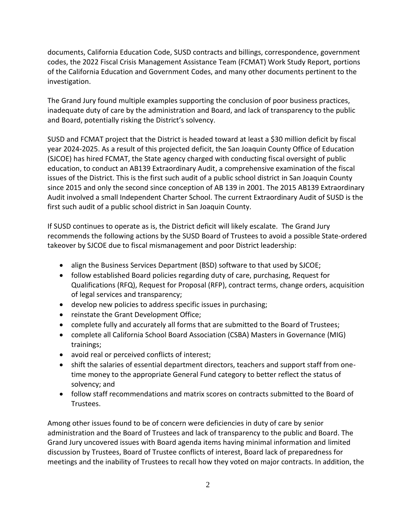documents, California Education Code, SUSD contracts and billings, correspondence, government codes, the 2022 Fiscal Crisis Management Assistance Team (FCMAT) Work Study Report, portions of the California Education and Government Codes, and many other documents pertinent to the investigation.

The Grand Jury found multiple examples supporting the conclusion of poor business practices, inadequate duty of care by the administration and Board, and lack of transparency to the public and Board, potentially risking the District's solvency.

SUSD and FCMAT project that the District is headed toward at least a \$30 million deficit by fiscal year 2024-2025. As a result of this projected deficit, the San Joaquin County Office of Education (SJCOE) has hired FCMAT, the State agency charged with conducting fiscal oversight of public education, to conduct an AB139 Extraordinary Audit, a comprehensive examination of the fiscal issues of the District. This is the first such audit of a public school district in San Joaquin County since 2015 and only the second since conception of AB 139 in 2001. The 2015 AB139 Extraordinary Audit involved a small Independent Charter School. The current Extraordinary Audit of SUSD is the first such audit of a public school district in San Joaquin County.

If SUSD continues to operate as is, the District deficit will likely escalate. The Grand Jury recommends the following actions by the SUSD Board of Trustees to avoid a possible State-ordered takeover by SJCOE due to fiscal mismanagement and poor District leadership:

- align the Business Services Department (BSD) software to that used by SJCOE;
- follow established Board policies regarding duty of care, purchasing, Request for Qualifications (RFQ), Request for Proposal (RFP), contract terms, change orders, acquisition of legal services and transparency;
- develop new policies to address specific issues in purchasing;
- reinstate the Grant Development Office;
- complete fully and accurately all forms that are submitted to the Board of Trustees;
- complete all California School Board Association (CSBA) Masters in Governance (MIG) trainings;
- avoid real or perceived conflicts of interest;
- shift the salaries of essential department directors, teachers and support staff from onetime money to the appropriate General Fund category to better reflect the status of solvency; and
- follow staff recommendations and matrix scores on contracts submitted to the Board of Trustees.

Among other issues found to be of concern were deficiencies in duty of care by senior administration and the Board of Trustees and lack of transparency to the public and Board. The Grand Jury uncovered issues with Board agenda items having minimal information and limited discussion by Trustees, Board of Trustee conflicts of interest, Board lack of preparedness for meetings and the inability of Trustees to recall how they voted on major contracts. In addition, the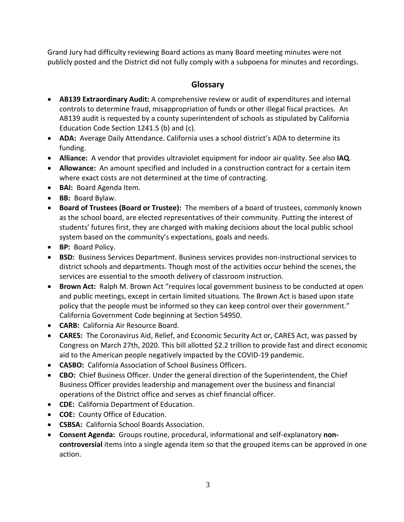Grand Jury had difficulty reviewing Board actions as many Board meeting minutes were not publicly posted and the District did not fully comply with a subpoena for minutes and recordings.

## **Glossary**

- **AB139 Extraordinary Audit:** A comprehensive review or audit of expenditures and internal controls to determine fraud, misappropriation of funds or other illegal fiscal practices. An AB139 audit is requested by a county superintendent of schools as stipulated by California Education Code Section 1241.5 (b) and (c).
- **ADA:** Average Daily Attendance. California uses a school district's ADA to determine its funding.
- **Alliance:** A vendor that provides ultraviolet equipment for indoor air quality. See also **IAQ**.
- **Allowance:** An amount specified and included in a construction contract for a certain item where exact costs are not determined at the time of contracting.
- **BAI:** Board Agenda Item.
- **BB:** Board Bylaw.
- **Board of Trustees (Board or Trustee):** The members of a board of trustees, commonly known as the school board, are elected representatives of their community. Putting the interest of students' futures first, they are charged with making decisions about the local public school system based on the community's expectations, goals and needs.
- **BP:** Board Policy.
- **BSD:** Business Services Department. Business services provides non-instructional services to district schools and departments. Though most of the activities occur behind the scenes, the services are essential to the smooth delivery of classroom instruction.
- **Brown Act:** Ralph M. Brown Act "requires local government business to be conducted at open and public meetings, except in certain limited situations. The Brown Act is based upon state policy that the people must be informed so they can keep control over their government." California Government Code beginning at Section 54950.
- **CARB:** California Air Resource Board.
- **CARES:** The Coronavirus Aid, Relief, and Economic Security Act or, CARES Act, was passed by Congress on March 27th, 2020. This bill allotted \$2.2 trillion to provide fast and direct economic aid to the American people negatively impacted by the COVID-19 pandemic.
- **CASBO:** California Association of School Business Officers.
- **CBO:** Chief Business Officer. Under the general direction of the Superintendent, the Chief Business Officer provides leadership and management over the business and financial operations of the District office and serves as chief financial officer.
- **CDE:** California Department of Education.
- **COE:** County Office of Education.
- **CSBSA:** California School Boards Association.
- **Consent Agenda:** Groups routine, procedural, informational and self-explanatory **noncontroversial** items into a single agenda item so that the grouped items can be approved in one action.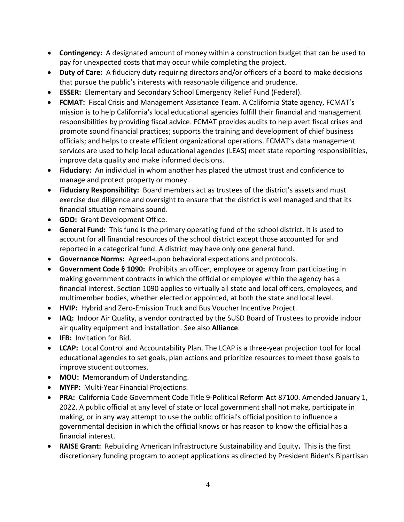- **Contingency:** A designated amount of money within a construction budget that can be used to pay for unexpected costs that may occur while completing the project.
- **Duty of Care:** A fiduciary duty requiring directors and/or officers of a board to make decisions that pursue the public's interests with reasonable diligence and prudence.
- **ESSER:** Elementary and Secondary School Emergency Relief Fund (Federal).
- **FCMAT:** Fiscal Crisis and Management Assistance Team. A California State agency, FCMAT's mission is to help California's local educational agencies fulfill their financial and management responsibilities by providing fiscal advice. FCMAT provides audits to help avert fiscal crises and promote sound financial practices; supports the training and development of chief business officials; and helps to create efficient organizational operations. FCMAT's data management services are used to help local educational agencies (LEAS) meet state reporting responsibilities, improve data quality and make informed decisions.
- **Fiduciary:** An individual in whom another has placed the utmost trust and confidence to manage and protect property or money.
- **Fiduciary Responsibility:** Board members act as trustees of the district's assets and must exercise due diligence and oversight to ensure that the district is well managed and that its financial situation remains sound.
- **GDO:** Grant Development Office.
- **General Fund:** This fund is the primary operating fund of the school district. It is used to account for all financial resources of the school district except those accounted for and reported in a categorical fund. A district may have only one general fund.
- **Governance Norms:** Agreed-upon behavioral expectations and protocols.
- **Government Code § 1090:** Prohibits an officer, employee or agency from participating in making government contracts in which the official or employee within the agency has a financial interest. Section 1090 applies to virtually all state and local officers, employees, and multimember bodies, whether elected or appointed, at both the state and local level.
- **HVIP:** Hybrid and Zero-Emission Truck and Bus Voucher Incentive Project.
- **IAQ:** Indoor Air Quality, a vendor contracted by the SUSD Board of Trustees to provide indoor air quality equipment and installation. See also **Alliance**.
- **IFB:** Invitation for Bid.
- **LCAP:** Local Control and Accountability Plan. The LCAP is a three-year projection tool for local educational agencies to set goals, plan actions and prioritize resources to meet those goals to improve student outcomes.
- **MOU:** Memorandum of Understanding.
- **MYFP:** Multi-Year Financial Projections.
- **PRA:** California Code Government Code Title 9-**P**olitical **R**eform **A**ct 87100. Amended January 1, 2022. A public official at any level of state or local government shall not make, participate in making, or in any way attempt to use the public official's official position to influence a governmental decision in which the official knows or has reason to know the official has a financial interest.
- **RAISE Grant:** Rebuilding American Infrastructure Sustainability and Equity**.** This is the first discretionary funding program to accept applications as directed by President Biden's Bipartisan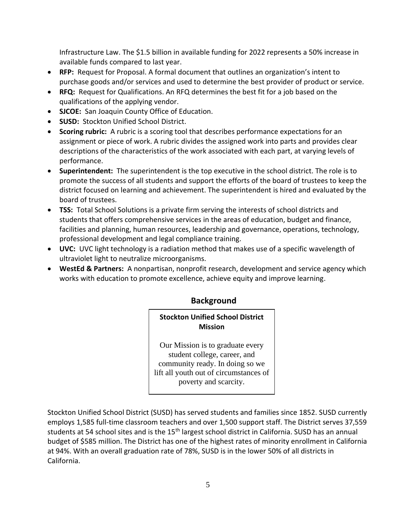Infrastructure Law. The \$1.5 billion in available funding for 2022 represents a 50% increase in available funds compared to last year.

- **RFP:** Request for Proposal. A formal document that outlines an organization's intent to purchase goods and/or services and used to determine the best provider of product or service.
- **RFQ:** Request for Qualifications. An RFQ determines the best fit for a job based on the qualifications of the applying vendor.
- **SJCOE:** San Joaquin County Office of Education.
- **SUSD:** Stockton Unified School District.
- **Scoring rubric:** A rubric is a scoring tool that describes performance expectations for an assignment or piece of work. A rubric divides the assigned work into parts and provides clear descriptions of the characteristics of the work associated with each part, at varying levels of performance.
- **Superintendent:** The superintendent is the top executive in the school district. The role is to promote the success of all students and support the efforts of the board of trustees to keep the district focused on learning and achievement. The superintendent is hired and evaluated by the board of trustees.
- **TSS:** Total School Solutions is a private firm serving the interests of school districts and students that offers comprehensive services in the areas of education, budget and finance, facilities and planning, human resources, leadership and governance, operations, technology, professional development and legal compliance training.
- **UVC:** UVC light technology is a radiation method that makes use of a specific wavelength of ultraviolet light to neutralize microorganisms.
- **WestEd & Partners:** A nonpartisan, nonprofit research, development and service agency which works with education to promote excellence, achieve equity and improve learning.

# **Background**

**Stockton Unified School District Mission**

Our Mission is to graduate every student college, career, and community ready. In doing so we lift all youth out of circumstances of poverty and scarcity.

Stockton Unified School District (SUSD) has served students and families since 1852. SUSD currently employs 1,585 full-time classroom teachers and over 1,500 support staff. The District serves 37,559 **Goals for Students** students at 54 school sites and is the 15<sup>th</sup> largest school district in California. SUSD has an annual budget of \$585 million. The District has one of the highest rates of minority enrollment in California budget of \$585 million. The District has one of the highest rates of minority enrollment in California at 94%. With an overall graduation rate of 78%, SUSD is in the lower 50% of all districts in<br>Calif California.  $3r$ de ville ingriest rates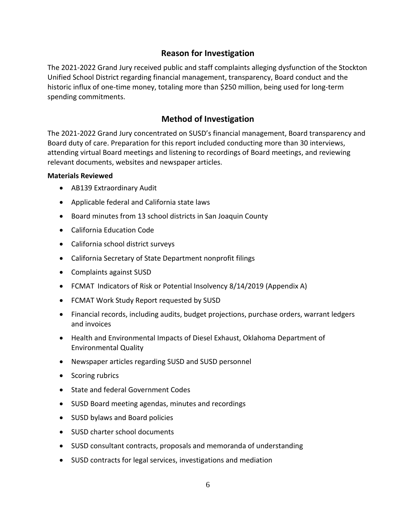### **Reason for Investigation**

The 2021-2022 Grand Jury received public and staff complaints alleging dysfunction of the Stockton Unified School District regarding financial management, transparency, Board conduct and the historic influx of one-time money, totaling more than \$250 million, being used for long-term spending commitments.

### **Method of Investigation**

The 2021-2022 Grand Jury concentrated on SUSD's financial management, Board transparency and Board duty of care. Preparation for this report included conducting more than 30 interviews, attending virtual Board meetings and listening to recordings of Board meetings, and reviewing relevant documents, websites and newspaper articles.

### **Materials Reviewed**

- AB139 Extraordinary Audit
- Applicable federal and California state laws
- Board minutes from 13 school districts in San Joaquin County
- California Education Code
- California school district surveys
- California Secretary of State Department nonprofit filings
- Complaints against SUSD
- FCMAT Indicators of Risk or Potential Insolvency 8/14/2019 (Appendix A)
- FCMAT Work Study Report requested by SUSD
- Financial records, including audits, budget projections, purchase orders, warrant ledgers and invoices
- Health and Environmental Impacts of Diesel Exhaust, Oklahoma Department of Environmental Quality
- Newspaper articles regarding SUSD and SUSD personnel
- Scoring rubrics
- State and federal Government Codes
- SUSD Board meeting agendas, minutes and recordings
- SUSD bylaws and Board policies
- SUSD charter school documents
- SUSD consultant contracts, proposals and memoranda of understanding
- SUSD contracts for legal services, investigations and mediation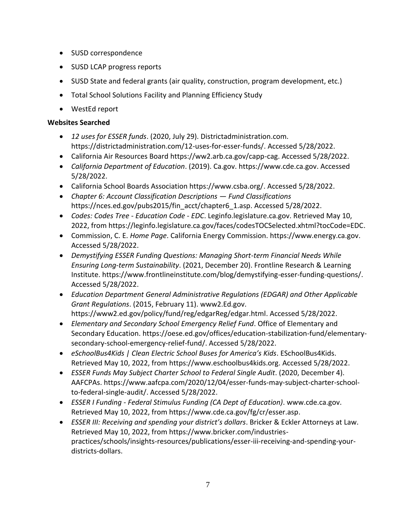- SUSD correspondence
- SUSD LCAP progress reports
- SUSD State and federal grants (air quality, construction, program development, etc.)
- Total School Solutions Facility and Planning Efficiency Study
- WestEd report

### **Websites Searched**

- *12 uses for ESSER funds*. (2020, July 29). Districtadministration.com. https://districtadministration.com/12-uses-for-esser-funds/. Accessed 5/28/2022.
- California Air Resources Board https://ww2.arb.ca.gov/capp-cag. Accessed 5/28/2022.
- *California Department of Education*. (2019). Ca.gov. https://www.cde.ca.gov. Accessed 5/28/2022.
- California School Boards Association https://www.csba.org/. Accessed 5/28/2022.
- *Chapter 6: Account Classification Descriptions — Fund Classifications* https://nces.ed.gov/pubs2015/fin\_acct/chapter6\_1.asp. Accessed 5/28/2022.
- *Codes: Codes Tree - Education Code - EDC*. Leginfo.legislature.ca.gov. Retrieved May 10, 2022, from https://leginfo.legislature.ca.gov/faces/codesTOCSelected.xhtml?tocCode=EDC.
- Commission, C. E. *Home Page*. California Energy Commission. https://www.energy.ca.gov. Accessed 5/28/2022.
- *Demystifying ESSER Funding Questions: Managing Short-term Financial Needs While Ensuring Long-term Sustainability*. (2021, December 20). Frontline Research & Learning Institute. https://www.frontlineinstitute.com/blog/demystifying-esser-funding-questions/. Accessed 5/28/2022.
- *Education Department General Administrative Regulations (EDGAR) and Other Applicable Grant Regulations*. (2015, February 11). www2.Ed.gov. https://www2.ed.gov/policy/fund/reg/edgarReg/edgar.html. Accessed 5/28/2022.
- *Elementary and Secondary School Emergency Relief Fund*. Office of Elementary and Secondary Education. https://oese.ed.gov/offices/education-stabilization-fund/elementarysecondary-school-emergency-relief-fund/. Accessed 5/28/2022.
- *eSchoolBus4Kids | Clean Electric School Buses for America's Kids*. ESchoolBus4Kids. Retrieved May 10, 2022, from https://www.eschoolbus4kids.org. Accessed 5/28/2022.
- *ESSER Funds May Subject Charter School to Federal Single Audit*. (2020, December 4). AAFCPAs. https://www.aafcpa.com/2020/12/04/esser-funds-may-subject-charter-schoolto-federal-single-audit/. Accessed 5/28/2022.
- *ESSER I Funding - Federal Stimulus Funding (CA Dept of Education)*. www.cde.ca.gov. Retrieved May 10, 2022, from https://www.cde.ca.gov/fg/cr/esser.asp.
- *ESSER III: Receiving and spending your district's dollars*. Bricker & Eckler Attorneys at Law. Retrieved May 10, 2022, from https://www.bricker.com/industriespractices/schools/insights-resources/publications/esser-iii-receiving-and-spending-yourdistricts-dollars.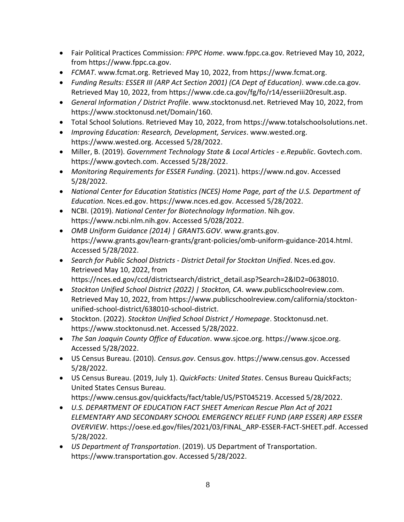- Fair Political Practices Commission: *FPPC Home*. www.fppc.ca.gov. Retrieved May 10, 2022, from https://www.fppc.ca.gov.
- *FCMAT*. www.fcmat.org. Retrieved May 10, 2022, from https://www.fcmat.org.
- *Funding Results: ESSER III (ARP Act Section 2001) (CA Dept of Education)*. www.cde.ca.gov. Retrieved May 10, 2022, from https://www.cde.ca.gov/fg/fo/r14/esseriii20result.asp.
- *General Information / District Profile*. www.stocktonusd.net. Retrieved May 10, 2022, from https://www.stocktonusd.net/Domain/160.
- Total School Solutions. Retrieved May 10, 2022, from https://www.totalschoolsolutions.net.
- *Improving Education: Research, Development, Services*. www.wested.org. https://www.wested.org. Accessed 5/28/2022.
- Miller, B. (2019). *Government Technology State & Local Articles - e.Republic*. Govtech.com. https://www.govtech.com. Accessed 5/28/2022.
- *Monitoring Requirements for ESSER Funding*. (2021). https://www.nd.gov. Accessed 5/28/2022.
- *National Center for Education Statistics (NCES) Home Page, part of the U.S. Department of Education*. Nces.ed.gov. https://www.nces.ed.gov. Accessed 5/28/2022.
- NCBI. (2019). *National Center for Biotechnology Information*. Nih.gov. https://www.ncbi.nlm.nih.gov. Accessed 5/028/2022.
- *OMB Uniform Guidance (2014) | GRANTS.GOV*. www.grants.gov. https://www.grants.gov/learn-grants/grant-policies/omb-uniform-guidance-2014.html. Accessed 5/28/2022.
- *Search for Public School Districts - District Detail for Stockton Unified*. Nces.ed.gov. Retrieved May 10, 2022, from https://nces.ed.gov/ccd/districtsearch/district\_detail.asp?Search=2&ID2=0638010.
- *Stockton Unified School District (2022) | Stockton, CA*. www.publicschoolreview.com. Retrieved May 10, 2022, from https://www.publicschoolreview.com/california/stocktonunified-school-district/638010-school-district.
- Stockton. (2022). *Stockton Unified School District / Homepage*. Stocktonusd.net. https://www.stocktonusd.net. Accessed 5/28/2022.
- *The San Joaquin County Office of Education*. www.sjcoe.org. https://www.sjcoe.org. Accessed 5/28/2022.
- US Census Bureau. (2010). *Census.gov*. Census.gov. https://www.census.gov. Accessed 5/28/2022.
- US Census Bureau. (2019, July 1). *QuickFacts: United States*. Census Bureau QuickFacts; United States Census Bureau. https://www.census.gov/quickfacts/fact/table/US/PST045219. Accessed 5/28/2022.
- *U.S. DEPARTMENT OF EDUCATION FACT SHEET American Rescue Plan Act of 2021 ELEMENTARY AND SECONDARY SCHOOL EMERGENCY RELIEF FUND (ARP ESSER) ARP ESSER OVERVIEW*. https://oese.ed.gov/files/2021/03/FINAL\_ARP-ESSER-FACT-SHEET.pdf. Accessed 5/28/2022.
- *US Department of Transportation*. (2019). US Department of Transportation. https://www.transportation.gov. Accessed 5/28/2022.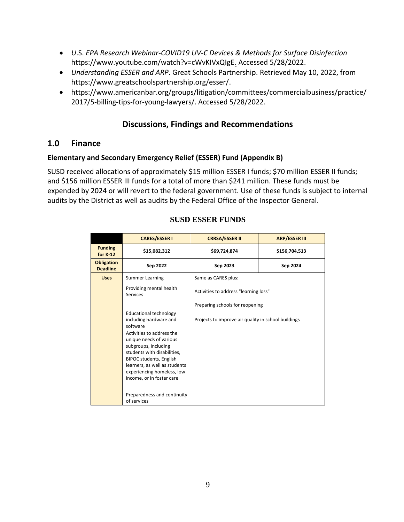- *U*.S. *EPA Research Webinar-COVID19 UV-C Devices & Methods for Surface Disinfection*  https://www.youtube.com/watch?v=cWvKIVxQIgE. Accessed 5/28/2022.
- *Understanding ESSER and ARP*. Great Schools Partnership. Retrieved May 10, 2022, from https://www.greatschoolspartnership.org/esser/.
- https://www.americanbar.org/groups/litigation/committees/commercialbusiness/practice/ 2017/5-billing-tips-for-young-lawyers/. Accessed 5/28/2022.

## **Discussions, Findings and Recommendations**

### **1.0 Finance**

### **Elementary and Secondary Emergency Relief (ESSER) Fund (Appendix B)**

SUSD received allocations of approximately \$15 million ESSER I funds; \$70 million ESSER II funds; and \$156 million ESSER III funds for a total of more than \$241 million. These funds must be expended by 2024 or will revert to the federal government. Use of these funds is subject to internal audits by the District as well as audits by the Federal Office of the Inspector General.

|                                      | <b>CARES/ESSER I</b>                                                                                                                                                                                                                                                                                                                                           | <b>CRRSA/ESSER II</b>                                                    | <b>ARP/ESSER III</b> |
|--------------------------------------|----------------------------------------------------------------------------------------------------------------------------------------------------------------------------------------------------------------------------------------------------------------------------------------------------------------------------------------------------------------|--------------------------------------------------------------------------|----------------------|
| <b>Funding</b><br>for K 12           | \$15,082,312                                                                                                                                                                                                                                                                                                                                                   | \$69,724,874                                                             | \$156,704,513        |
| <b>Obligation</b><br><b>Deadline</b> | Sep 2022                                                                                                                                                                                                                                                                                                                                                       | Sep 2023                                                                 | Sep 2024             |
| <b>Uses</b>                          | <b>Summer Learning</b>                                                                                                                                                                                                                                                                                                                                         | Same as CARES plus:                                                      |                      |
|                                      | Providing mental health<br><b>Services</b>                                                                                                                                                                                                                                                                                                                     | Activities to address "learning loss"<br>Preparing schools for reopening |                      |
|                                      |                                                                                                                                                                                                                                                                                                                                                                |                                                                          |                      |
|                                      | <b>Educational technology</b><br>including hardware and<br>software<br>Activities to address the<br>unique needs of various<br>subgroups, including<br>students with disabilities,<br><b>BIPOC students, English</b><br>learners, as well as students<br>experiencing homeless, low<br>income, or in foster care<br>Preparedness and continuity<br>of services | Projects to improve air quality in school buildings                      |                      |

### **SUSD ESSER FUNDS**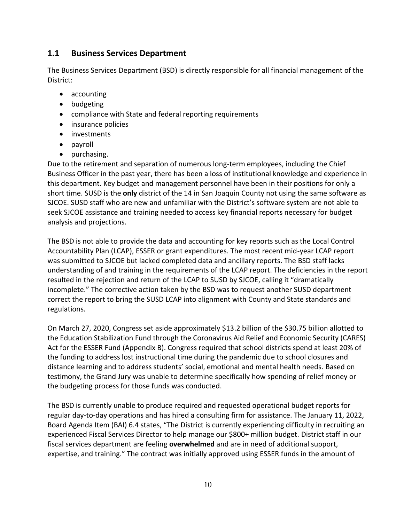### **1.1 Business Services Department**

The Business Services Department (BSD) is directly responsible for all financial management of the District:

- accounting
- budgeting
- compliance with State and federal reporting requirements
- insurance policies
- investments
- payroll
- purchasing.

Due to the retirement and separation of numerous long-term employees, including the Chief Business Officer in the past year, there has been a loss of institutional knowledge and experience in this department. Key budget and management personnel have been in their positions for only a short time. SUSD is the **only** district of the 14 in San Joaquin County not using the same software as SJCOE. SUSD staff who are new and unfamiliar with the District's software system are not able to seek SJCOE assistance and training needed to access key financial reports necessary for budget analysis and projections.

The BSD is not able to provide the data and accounting for key reports such as the Local Control Accountability Plan (LCAP), ESSER or grant expenditures. The most recent mid-year LCAP report was submitted to SJCOE but lacked completed data and ancillary reports. The BSD staff lacks understanding of and training in the requirements of the LCAP report. The deficiencies in the report resulted in the rejection and return of the LCAP to SUSD by SJCOE, calling it "dramatically incomplete." The corrective action taken by the BSD was to request another SUSD department correct the report to bring the SUSD LCAP into alignment with County and State standards and regulations.

On March 27, 2020, Congress set aside approximately \$13.2 billion of the \$30.75 billion allotted to the Education Stabilization Fund through the Coronavirus Aid Relief and Economic Security (CARES) Act for the ESSER Fund (Appendix B). Congress required that school districts spend at least 20% of the funding to address lost instructional time during the pandemic due to school closures and distance learning and to address students' social, emotional and mental health needs. Based on testimony, the Grand Jury was unable to determine specifically how spending of relief money or the budgeting process for those funds was conducted.

The BSD is currently unable to produce required and requested operational budget reports for regular day-to-day operations and has hired a consulting firm for assistance. The January 11, 2022, Board Agenda Item (BAI) 6.4 states, "The District is currently experiencing difficulty in recruiting an experienced Fiscal Services Director to help manage our \$800+ million budget. District staff in our fiscal services department are feeling **overwhelmed** and are in need of additional support, expertise, and training." The contract was initially approved using ESSER funds in the amount of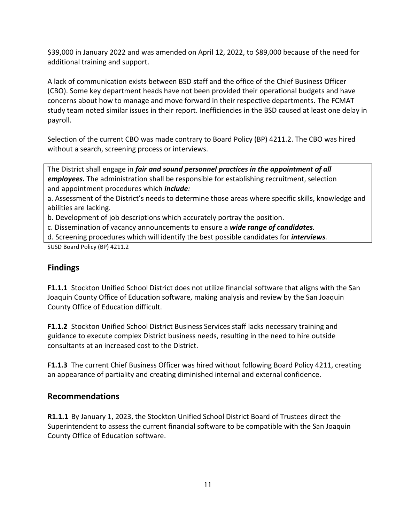\$39,000 in January 2022 and was amended on April 12, 2022, to \$89,000 because of the need for additional training and support.

A lack of communication exists between BSD staff and the office of the Chief Business Officer (CBO). Some key department heads have not been provided their operational budgets and have concerns about how to manage and move forward in their respective departments. The FCMAT study team noted similar issues in their report. Inefficiencies in the BSD caused at least one delay in payroll.

Selection of the current CBO was made contrary to Board Policy (BP) 4211.2. The CBO was hired without a search, screening process or interviews.

The District shall engage in *fair and sound personnel practices in the appointment of all employees.* The administration shall be responsible for establishing recruitment, selection and appointment procedures which *include:*

a. Assessment of the District's needs to determine those areas where specific skills, knowledge and abilities are lacking.

b. Development of job descriptions which accurately portray the position.

c. Dissemination of vacancy announcements to ensure a *wide range of candidates.*

d. Screening procedures which will identify the best possible candidates for *interviews.*

SUSD Board Policy (BP) 4211.2

## **Findings**

**F1.1.1** Stockton Unified School District does not utilize financial software that aligns with the San Joaquin County Office of Education software, making analysis and review by the San Joaquin County Office of Education difficult.

**F1.1.2** Stockton Unified School District Business Services staff lacks necessary training and guidance to execute complex District business needs, resulting in the need to hire outside consultants at an increased cost to the District.

**F1.1.3** The current Chief Business Officer was hired without following Board Policy 4211, creating an appearance of partiality and creating diminished internal and external confidence.

### **Recommendations**

**R1.1.1** By January 1, 2023, the Stockton Unified School District Board of Trustees direct the Superintendent to assess the current financial software to be compatible with the San Joaquin County Office of Education software.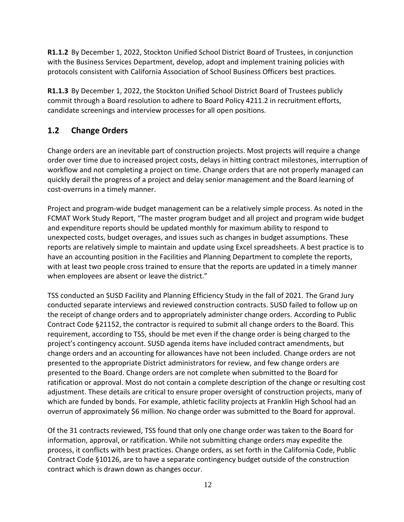**R1.1.2** By December 1, 2022, Stockton Unified School District Board of Trustees, in conjunction with the Business Services Department, develop, adopt and implement training policies with protocols consistent with California Association of School Business Officers best practices.

**R1.1.3** By December 1, 2022, the Stockton Unified School District Board of Trustees publicly commit through a Board resolution to adhere to Board Policy 4211.2 in recruitment efforts, candidate screenings and interview processes for all open positions.

# **1.2 Change Orders**

Change orders are an inevitable part of construction projects. Most projects will require a change order over time due to increased project costs, delays in hitting contract milestones, interruption of workflow and not completing a project on time. Change orders that are not properly managed can quickly derail the progress of a project and delay senior management and the Board learning of cost-overruns in a timely manner.

Project and program-wide budget management can be a relatively simple process. As noted in the FCMAT Work Study Report, "The master program budget and all project and program wide budget and expenditure reports should be updated monthly for maximum ability to respond to unexpected costs, budget overages, and issues such as changes in budget assumptions. These reports are relatively simple to maintain and update using Excel spreadsheets. A best practice is to have an accounting position in the Facilities and Planning Department to complete the reports, with at least two people cross trained to ensure that the reports are updated in a timely manner when employees are absent or leave the district."

TSS conducted an SUSD Facility and Planning Efficiency Study in the fall of 2021. The Grand Jury conducted separate interviews and reviewed construction contracts. SUSD failed to follow up on the receipt of change orders and to appropriately administer change orders. According to Public Contract Code §21152, the contractor is required to submit all change orders to the Board. This requirement, according to TSS, should be met even if the change order is being charged to the project's contingency account. SUSD agenda items have included contract amendments, but change orders and an accounting for allowances have not been included. Change orders are not presented to the appropriate District administrators for review, and few change orders are presented to the Board. Change orders are not complete when submitted to the Board for ratification or approval. Most do not contain a complete description of the change or resulting cost adjustment. These details are critical to ensure proper oversight of construction projects, many of which are funded by bonds. For example, athletic facility projects at Franklin High School had an overrun of approximately \$6 million. No change order was submitted to the Board for approval.

Of the 31 contracts reviewed, TSS found that only one change order was taken to the Board for information, approval, or ratification. While not submitting change orders may expedite the process, it conflicts with best practices. Change orders, as set forth in the California Code, Public Contract Code §10126, are to have a separate contingency budget outside of the construction contract which is drawn down as changes occur.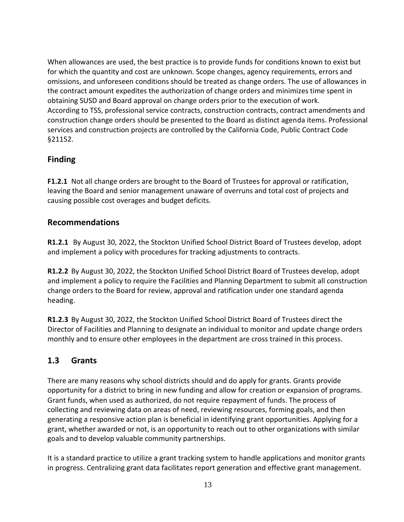When allowances are used, the best practice is to provide funds for conditions known to exist but for which the quantity and cost are unknown. Scope changes, agency requirements, errors and omissions, and unforeseen conditions should be treated as change orders. The use of allowances in the contract amount expedites the authorization of change orders and minimizes time spent in obtaining SUSD and Board approval on change orders prior to the execution of work. According to TSS, professional service contracts, construction contracts, contract amendments and construction change orders should be presented to the Board as distinct agenda items. Professional services and construction projects are controlled by the California Code, Public Contract Code §21152.

### **Finding**

**F1.2.1** Not all change orders are brought to the Board of Trustees for approval or ratification, leaving the Board and senior management unaware of overruns and total cost of projects and causing possible cost overages and budget deficits.

### **Recommendations**

**R1.2.1** By August 30, 2022, the Stockton Unified School District Board of Trustees develop, adopt and implement a policy with procedures for tracking adjustments to contracts.

**R1.2.2** By August 30, 2022, the Stockton Unified School District Board of Trustees develop, adopt and implement a policy to require the Facilities and Planning Department to submit all construction change orders to the Board for review, approval and ratification under one standard agenda heading.

**R1.2.3** By August 30, 2022, the Stockton Unified School District Board of Trustees direct the Director of Facilities and Planning to designate an individual to monitor and update change orders monthly and to ensure other employees in the department are cross trained in this process.

## **1.3 Grants**

There are many reasons why school districts should and do apply for grants. Grants provide opportunity for a district to bring in new funding and allow for creation or expansion of programs. Grant funds, when used as authorized, do not require repayment of funds. The process of collecting and reviewing data on areas of need, reviewing resources, forming goals, and then generating a responsive action plan is beneficial in identifying grant opportunities. Applying for a grant, whether awarded or not, is an opportunity to reach out to other organizations with similar goals and to develop valuable community partnerships.

It is a standard practice to utilize a grant tracking system to handle applications and monitor grants in progress. Centralizing grant data facilitates report generation and effective grant management.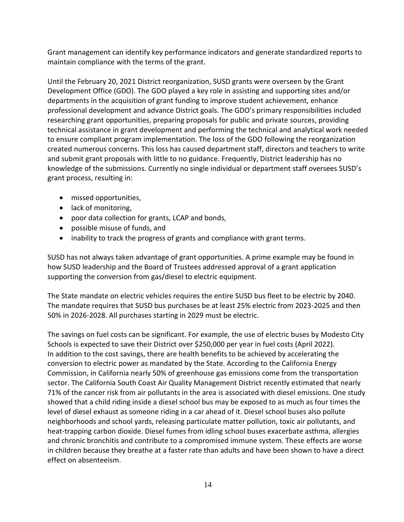Grant management can identify key performance indicators and generate standardized reports to maintain compliance with the terms of the grant.

Until the February 20, 2021 District reorganization, SUSD grants were overseen by the Grant Development Office (GDO). The GDO played a key role in assisting and supporting sites and/or departments in the acquisition of grant funding to improve student achievement, enhance professional development and advance District goals. The GDO's primary responsibilities included researching grant opportunities, preparing proposals for public and private sources, providing technical assistance in grant development and performing the technical and analytical work needed to ensure compliant program implementation. The loss of the GDO following the reorganization created numerous concerns. This loss has caused department staff, directors and teachers to write and submit grant proposals with little to no guidance. Frequently, District leadership has no knowledge of the submissions. Currently no single individual or department staff oversees SUSD's grant process, resulting in:

- missed opportunities,
- lack of monitoring,
- poor data collection for grants, LCAP and bonds,
- possible misuse of funds, and
- inability to track the progress of grants and compliance with grant terms.

SUSD has not always taken advantage of grant opportunities. A prime example may be found in how SUSD leadership and the Board of Trustees addressed approval of a grant application supporting the conversion from gas/diesel to electric equipment.

The State mandate on electric vehicles requires the entire SUSD bus fleet to be electric by 2040. The mandate requires that SUSD bus purchases be at least 25% electric from 2023-2025 and then 50% in 2026-2028. All purchases starting in 2029 must be electric.

The savings on fuel costs can be significant. For example, the use of electric buses by Modesto City Schools is expected to save their District over \$250,000 per year in fuel costs (April 2022). In addition to the cost savings, there are health benefits to be achieved by accelerating the conversion to electric power as mandated by the State. According to the California Energy Commission, in California nearly 50% of greenhouse gas emissions come from the transportation sector. The California South Coast Air Quality Management District recently estimated that nearly 71% of the cancer risk from air pollutants in the area is associated with diesel emissions. One study showed that a child riding inside a diesel school bus may be exposed to as much as four times the level of diesel exhaust as someone riding in a car ahead of it. Diesel school buses also pollute neighborhoods and school yards, releasing particulate matter pollution, toxic air pollutants, and heat-trapping carbon dioxide. Diesel fumes from idling school buses exacerbate asthma, allergies and chronic bronchitis and contribute to a compromised immune system. These effects are worse in children because they breathe at a faster rate than adults and have been shown to have a direct effect on absenteeism.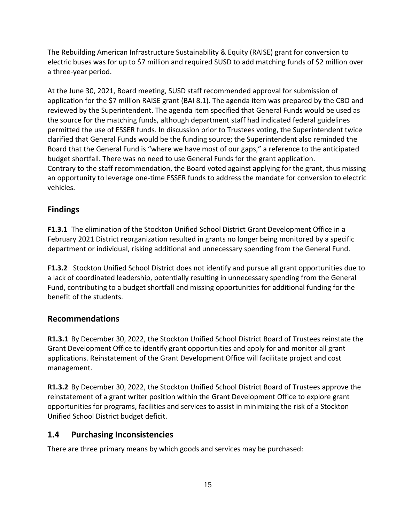The Rebuilding American Infrastructure Sustainability & Equity (RAISE) grant for conversion to electric buses was for up to \$7 million and required SUSD to add matching funds of \$2 million over a three-year period.

At the June 30, 2021, Board meeting, SUSD staff recommended approval for submission of application for the \$7 million RAISE grant (BAI 8.1). The agenda item was prepared by the CBO and reviewed by the Superintendent. The agenda item specified that General Funds would be used as the source for the matching funds, although department staff had indicated federal guidelines permitted the use of ESSER funds. In discussion prior to Trustees voting, the Superintendent twice clarified that General Funds would be the funding source; the Superintendent also reminded the Board that the General Fund is "where we have most of our gaps," a reference to the anticipated budget shortfall. There was no need to use General Funds for the grant application. Contrary to the staff recommendation, the Board voted against applying for the grant, thus missing an opportunity to leverage one-time ESSER funds to address the mandate for conversion to electric vehicles.

## **Findings**

**F1.3.1** The elimination of the Stockton Unified School District Grant Development Office in a February 2021 District reorganization resulted in grants no longer being monitored by a specific department or individual, risking additional and unnecessary spending from the General Fund.

**F1.3.2** Stockton Unified School District does not identify and pursue all grant opportunities due to a lack of coordinated leadership, potentially resulting in unnecessary spending from the General Fund, contributing to a budget shortfall and missing opportunities for additional funding for the benefit of the students.

## **Recommendations**

**R1.3.1** By December 30, 2022, the Stockton Unified School District Board of Trustees reinstate the Grant Development Office to identify grant opportunities and apply for and monitor all grant applications. Reinstatement of the Grant Development Office will facilitate project and cost management.

**R1.3.2** By December 30, 2022, the Stockton Unified School District Board of Trustees approve the reinstatement of a grant writer position within the Grant Development Office to explore grant opportunities for programs, facilities and services to assist in minimizing the risk of a Stockton Unified School District budget deficit.

# **1.4 Purchasing Inconsistencies**

There are three primary means by which goods and services may be purchased: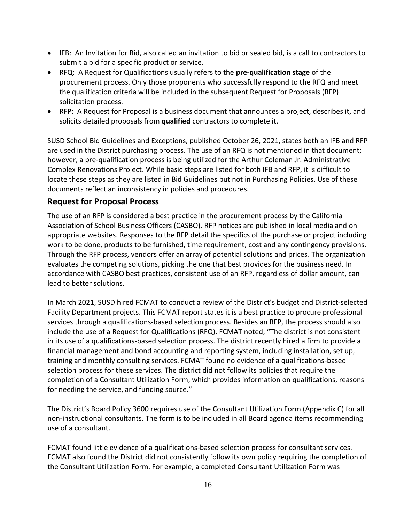- IFB: An Invitation for Bid, also called an invitation to bid or sealed bid, is a call to contractors to submit a bid for a specific product or service.
- RFQ: A Request for Qualifications usually refers to the **pre-qualification stage** of the procurement process. Only those proponents who successfully respond to the RFQ and meet the qualification criteria will be included in the subsequent Request for Proposals (RFP) solicitation process.
- RFP: A Request for Proposal is a business document that announces a project, describes it, and solicits detailed proposals from **qualified** contractors to complete it.

SUSD School Bid Guidelines and Exceptions, published October 26, 2021, states both an IFB and RFP are used in the District purchasing process. The use of an RFQ is not mentioned in that document; however, a pre-qualification process is being utilized for the Arthur Coleman Jr. Administrative Complex Renovations Project. While basic steps are listed for both IFB and RFP, it is difficult to locate these steps as they are listed in Bid Guidelines but not in Purchasing Policies. Use of these documents reflect an inconsistency in policies and procedures.

### **Request for Proposal Process**

The use of an RFP is considered a best practice in the procurement process by the California Association of School Business Officers (CASBO). RFP notices are published in local media and on appropriate websites. Responses to the RFP detail the specifics of the purchase or project including work to be done, products to be furnished, time requirement, cost and any contingency provisions. Through the RFP process, vendors offer an array of potential solutions and prices. The organization evaluates the competing solutions, picking the one that best provides for the business need. In accordance with CASBO best practices, consistent use of an RFP, regardless of dollar amount, can lead to better solutions.

In March 2021, SUSD hired FCMAT to conduct a review of the District's budget and District-selected Facility Department projects. This FCMAT report states it is a best practice to procure professional services through a qualifications-based selection process. Besides an RFP, the process should also include the use of a Request for Qualifications (RFQ). FCMAT noted, "The district is not consistent in its use of a qualifications-based selection process. The district recently hired a firm to provide a financial management and bond accounting and reporting system, including installation, set up, training and monthly consulting services. FCMAT found no evidence of a qualifications-based selection process for these services. The district did not follow its policies that require the completion of a Consultant Utilization Form, which provides information on qualifications, reasons for needing the service, and funding source."

The District's Board Policy 3600 requires use of the Consultant Utilization Form (Appendix C) for all non-instructional consultants. The form is to be included in all Board agenda items recommending use of a consultant.

FCMAT found little evidence of a qualifications-based selection process for consultant services. FCMAT also found the District did not consistently follow its own policy requiring the completion of the Consultant Utilization Form. For example, a completed Consultant Utilization Form was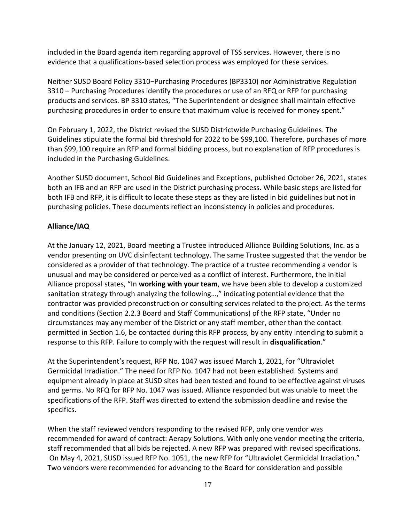included in the Board agenda item regarding approval of TSS services. However, there is no evidence that a qualifications-based selection process was employed for these services.

Neither SUSD Board Policy 3310−Purchasing Procedures (BP3310) nor Administrative Regulation 3310 – Purchasing Procedures identify the procedures or use of an RFQ or RFP for purchasing products and services. BP 3310 states, "The Superintendent or designee shall maintain effective purchasing procedures in order to ensure that maximum value is received for money spent."

On February 1, 2022, the District revised the SUSD Districtwide Purchasing Guidelines. The Guidelines stipulate the formal bid threshold for 2022 to be \$99,100. Therefore, purchases of more than \$99,100 require an RFP and formal bidding process, but no explanation of RFP procedures is included in the Purchasing Guidelines.

Another SUSD document, School Bid Guidelines and Exceptions, published October 26, 2021, states both an IFB and an RFP are used in the District purchasing process. While basic steps are listed for both IFB and RFP, it is difficult to locate these steps as they are listed in bid guidelines but not in purchasing policies. These documents reflect an inconsistency in policies and procedures.

### **Alliance/IAQ**

At the January 12, 2021, Board meeting a Trustee introduced Alliance Building Solutions, Inc. as a vendor presenting on UVC disinfectant technology. The same Trustee suggested that the vendor be considered as a provider of that technology. The practice of a trustee recommending a vendor is unusual and may be considered or perceived as a conflict of interest. Furthermore, the initial Alliance proposal states, "In **working with your team**, we have been able to develop a customized sanitation strategy through analyzing the following...," indicating potential evidence that the contractor was provided preconstruction or consulting services related to the project. As the terms and conditions (Section 2.2.3 Board and Staff Communications) of the RFP state, "Under no circumstances may any member of the District or any staff member, other than the contact permitted in Section 1.6, be contacted during this RFP process, by any entity intending to submit a response to this RFP. Failure to comply with the request will result in **disqualification**."

At the Superintendent's request, RFP No. 1047 was issued March 1, 2021, for "Ultraviolet Germicidal Irradiation." The need for RFP No. 1047 had not been established. Systems and equipment already in place at SUSD sites had been tested and found to be effective against viruses and germs. No RFQ for RFP No. 1047 was issued. Alliance responded but was unable to meet the specifications of the RFP. Staff was directed to extend the submission deadline and revise the specifics.

When the staff reviewed vendors responding to the revised RFP, only one vendor was recommended for award of contract: Aerapy Solutions. With only one vendor meeting the criteria, staff recommended that all bids be rejected. A new RFP was prepared with revised specifications. On May 4, 2021, SUSD issued RFP No. 1051, the new RFP for "Ultraviolet Germicidal Irradiation." Two vendors were recommended for advancing to the Board for consideration and possible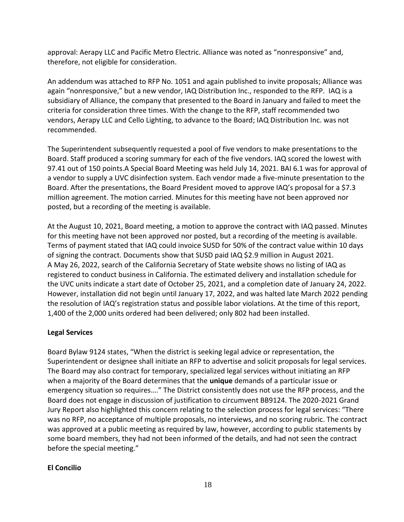approval: Aerapy LLC and Pacific Metro Electric. Alliance was noted as "nonresponsive" and, therefore, not eligible for consideration.

An addendum was attached to RFP No. 1051 and again published to invite proposals; Alliance was again "nonresponsive," but a new vendor, IAQ Distribution Inc., responded to the RFP. IAQ is a subsidiary of Alliance, the company that presented to the Board in January and failed to meet the criteria for consideration three times. With the change to the RFP, staff recommended two vendors, Aerapy LLC and Cello Lighting, to advance to the Board; IAQ Distribution Inc. was not recommended.

The Superintendent subsequently requested a pool of five vendors to make presentations to the Board. Staff produced a scoring summary for each of the five vendors. IAQ scored the lowest with 97.41 out of 150 points.A Special Board Meeting was held July 14, 2021. BAI 6.1 was for approval of a vendor to supply a UVC disinfection system. Each vendor made a five-minute presentation to the Board. After the presentations, the Board President moved to approve IAQ's proposal for a \$7.3 million agreement. The motion carried. Minutes for this meeting have not been approved nor posted, but a recording of the meeting is available.

At the August 10, 2021, Board meeting, a motion to approve the contract with IAQ passed. Minutes for this meeting have not been approved nor posted, but a recording of the meeting is available. Terms of payment stated that IAQ could invoice SUSD for 50% of the contract value within 10 days of signing the contract. Documents show that SUSD paid IAQ \$2.9 million in August 2021. A May 26, 2022, search of the California Secretary of State website shows no listing of IAQ as registered to conduct business in California. The estimated delivery and installation schedule for the UVC units indicate a start date of October 25, 2021, and a completion date of January 24, 2022. However, installation did not begin until January 17, 2022, and was halted late March 2022 pending the resolution of IAQ's registration status and possible labor violations. At the time of this report, 1,400 of the 2,000 units ordered had been delivered; only 802 had been installed.

### **Legal Services**

Board Bylaw 9124 states, "When the district is seeking legal advice or representation, the Superintendent or designee shall initiate an RFP to advertise and solicit proposals for legal services. The Board may also contract for temporary, specialized legal services without initiating an RFP when a majority of the Board determines that the **unique** demands of a particular issue or emergency situation so requires…." The District consistently does not use the RFP process, and the Board does not engage in discussion of justification to circumvent BB9124. The 2020-2021 Grand Jury Report also highlighted this concern relating to the selection process for legal services: "There was no RFP, no acceptance of multiple proposals, no interviews, and no scoring rubric. The contract was approved at a public meeting as required by law, however, according to public statements by some board members, they had not been informed of the details, and had not seen the contract before the special meeting."

### **El Concilio**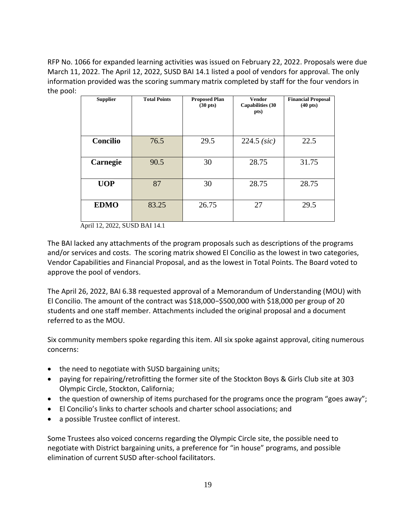RFP No. 1066 for expanded learning activities was issued on February 22, 2022. Proposals were due March 11, 2022. The April 12, 2022, SUSD BAI 14.1 listed a pool of vendors for approval. The only information provided was the scoring summary matrix completed by staff for the four vendors in the pool:

| <b>Supplier</b> | <b>Total Points</b> | <b>Proposed Plan</b><br>$(30 \text{ pts})$ | <b>Vendor</b><br><b>Capabilities (30</b><br>pts) | <b>Financial Proposal</b><br>$(40 \text{ pts})$ |
|-----------------|---------------------|--------------------------------------------|--------------------------------------------------|-------------------------------------------------|
| Concilio        | 76.5                | 29.5                                       | 224.5 (sic)                                      | 22.5                                            |
| Carnegie        | 90.5                | 30                                         | 28.75                                            | 31.75                                           |
| <b>UOP</b>      | 87                  | 30                                         | 28.75                                            | 28.75                                           |
| <b>EDMO</b>     | 83.25               | 26.75                                      | 27                                               | 29.5                                            |

April 12, 2022, SUSD BAI 14.1

The BAI lacked any attachments of the program proposals such as descriptions of the programs and/or services and costs. The scoring matrix showed El Concilio as the lowest in two categories, Vendor Capabilities and Financial Proposal, and as the lowest in Total Points. The Board voted to approve the pool of vendors.

The April 26, 2022, BAI 6.38 requested approval of a Memorandum of Understanding (MOU) with El Concilio. The amount of the contract was \$18,000−\$500,000 with \$18,000 per group of 20 students and one staff member. Attachments included the original proposal and a document referred to as the MOU.

Six community members spoke regarding this item. All six spoke against approval, citing numerous concerns:

- the need to negotiate with SUSD bargaining units;
- paying for repairing/retrofitting the former site of the Stockton Boys & Girls Club site at 303 Olympic Circle, Stockton, California;
- the question of ownership of items purchased for the programs once the program "goes away";
- El Concilio's links to charter schools and charter school associations; and
- a possible Trustee conflict of interest.

Some Trustees also voiced concerns regarding the Olympic Circle site, the possible need to negotiate with District bargaining units, a preference for "in house" programs, and possible elimination of current SUSD after-school facilitators.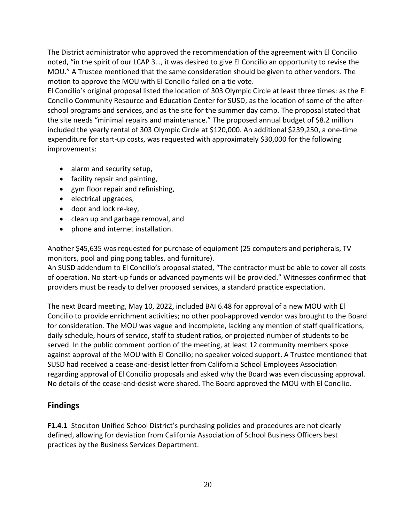The District administrator who approved the recommendation of the agreement with El Concilio noted, "in the spirit of our LCAP 3…, it was desired to give El Concilio an opportunity to revise the MOU." A Trustee mentioned that the same consideration should be given to other vendors. The motion to approve the MOU with El Concilio failed on a tie vote.

El Concilio's original proposal listed the location of 303 Olympic Circle at least three times: as the El Concilio Community Resource and Education Center for SUSD, as the location of some of the afterschool programs and services, and as the site for the summer day camp. The proposal stated that the site needs "minimal repairs and maintenance." The proposed annual budget of \$8.2 million included the yearly rental of 303 Olympic Circle at \$120,000. An additional \$239,250, a one-time expenditure for start-up costs, was requested with approximately \$30,000 for the following improvements:

- alarm and security setup,
- facility repair and painting,
- gym floor repair and refinishing,
- electrical upgrades,
- door and lock re-key,
- clean up and garbage removal, and
- phone and internet installation.

Another \$45,635 was requested for purchase of equipment (25 computers and peripherals, TV monitors, pool and ping pong tables, and furniture).

An SUSD addendum to El Concilio's proposal stated, "The contractor must be able to cover all costs of operation. No start-up funds or advanced payments will be provided." Witnesses confirmed that providers must be ready to deliver proposed services, a standard practice expectation.

The next Board meeting, May 10, 2022, included BAI 6.48 for approval of a new MOU with El Concilio to provide enrichment activities; no other pool-approved vendor was brought to the Board for consideration. The MOU was vague and incomplete, lacking any mention of staff qualifications, daily schedule, hours of service, staff to student ratios, or projected number of students to be served. In the public comment portion of the meeting, at least 12 community members spoke against approval of the MOU with El Concilio; no speaker voiced support. A Trustee mentioned that SUSD had received a cease-and-desist letter from California School Employees Association regarding approval of El Concilio proposals and asked why the Board was even discussing approval. No details of the cease-and-desist were shared. The Board approved the MOU with El Concilio.

### **Findings**

**F1.4.1** Stockton Unified School District's purchasing policies and procedures are not clearly defined, allowing for deviation from California Association of School Business Officers best practices by the Business Services Department.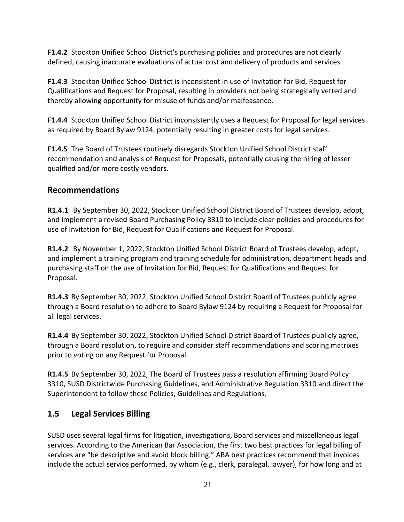**F1.4.2** Stockton Unified School District's purchasing policies and procedures are not clearly defined, causing inaccurate evaluations of actual cost and delivery of products and services.

**F1.4.3** Stockton Unified School District is inconsistent in use of Invitation for Bid, Request for Qualifications and Request for Proposal, resulting in providers not being strategically vetted and thereby allowing opportunity for misuse of funds and/or malfeasance.

**F1.4.4** Stockton Unified School District inconsistently uses a Request for Proposal for legal services as required by Board Bylaw 9124, potentially resulting in greater costs for legal services.

**F1.4.5** The Board of Trustees routinely disregards Stockton Unified School District staff recommendation and analysis of Request for Proposals, potentially causing the hiring of lesser qualified and/or more costly vendors.

## **Recommendations**

**R1.4.1** By September 30, 2022, Stockton Unified School District Board of Trustees develop, adopt, and implement a revised Board Purchasing Policy 3310 to include clear policies and procedures for use of Invitation for Bid, Request for Qualifications and Request for Proposal.

**R1.4.2** By November 1, 2022, Stockton Unified School District Board of Trustees develop, adopt, and implement a training program and training schedule for administration, department heads and purchasing staff on the use of Invitation for Bid, Request for Qualifications and Request for Proposal.

**R1.4.3** By September 30, 2022, Stockton Unified School District Board of Trustees publicly agree through a Board resolution to adhere to Board Bylaw 9124 by requiring a Request for Proposal for all legal services.

**R1.4.4** By September 30, 2022, Stockton Unified School District Board of Trustees publicly agree, through a Board resolution, to require and consider staff recommendations and scoring matrixes prior to voting on any Request for Proposal.

**R1.4.5** By September 30, 2022, The Board of Trustees pass a resolution affirming Board Policy 3310, SUSD Districtwide Purchasing Guidelines, and Administrative Regulation 3310 and direct the Superintendent to follow these Policies, Guidelines and Regulations.

# **1.5 Legal Services Billing**

SUSD uses several legal firms for litigation, investigations, Board services and miscellaneous legal services. According to the American Bar Association, the first two best practices for legal billing of services are "be descriptive and avoid block billing." ABA best practices recommend that invoices include the actual service performed, by whom (e.g., clerk, paralegal, lawyer), for how long and at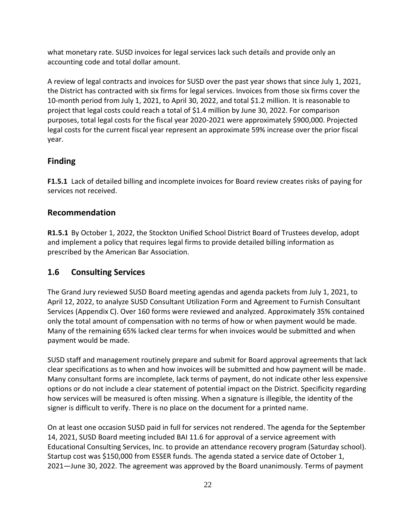what monetary rate. SUSD invoices for legal services lack such details and provide only an accounting code and total dollar amount.

A review of legal contracts and invoices for SUSD over the past year shows that since July 1, 2021, the District has contracted with six firms for legal services. Invoices from those six firms cover the 10-month period from July 1, 2021, to April 30, 2022, and total \$1.2 million. It is reasonable to project that legal costs could reach a total of \$1.4 million by June 30, 2022. For comparison purposes, total legal costs for the fiscal year 2020-2021 were approximately \$900,000. Projected legal costs for the current fiscal year represent an approximate 59% increase over the prior fiscal year.

## **Finding**

**F1.5.1** Lack of detailed billing and incomplete invoices for Board review creates risks of paying for services not received.

## **Recommendation**

**R1.5.1** By October 1, 2022, the Stockton Unified School District Board of Trustees develop, adopt and implement a policy that requires legal firms to provide detailed billing information as prescribed by the American Bar Association.

## **1.6 Consulting Services**

The Grand Jury reviewed SUSD Board meeting agendas and agenda packets from July 1, 2021, to April 12, 2022, to analyze SUSD Consultant Utilization Form and Agreement to Furnish Consultant Services (Appendix C). Over 160 forms were reviewed and analyzed. Approximately 35% contained only the total amount of compensation with no terms of how or when payment would be made. Many of the remaining 65% lacked clear terms for when invoices would be submitted and when payment would be made.

SUSD staff and management routinely prepare and submit for Board approval agreements that lack clear specifications as to when and how invoices will be submitted and how payment will be made. Many consultant forms are incomplete, lack terms of payment, do not indicate other less expensive options or do not include a clear statement of potential impact on the District. Specificity regarding how services will be measured is often missing. When a signature is illegible, the identity of the signer is difficult to verify. There is no place on the document for a printed name.

On at least one occasion SUSD paid in full for services not rendered. The agenda for the September 14, 2021, SUSD Board meeting included BAI 11.6 for approval of a service agreement with Educational Consulting Services, Inc. to provide an attendance recovery program (Saturday school). Startup cost was \$150,000 from ESSER funds. The agenda stated a service date of October 1, 2021—June 30, 2022. The agreement was approved by the Board unanimously. Terms of payment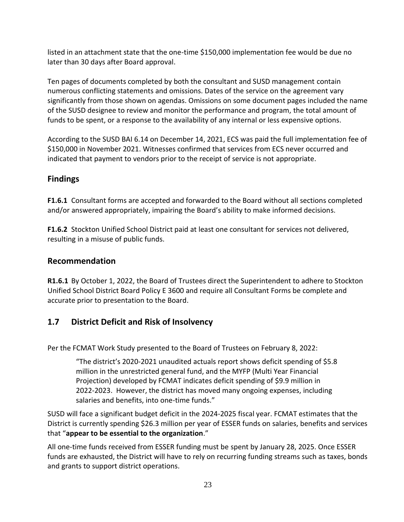listed in an attachment state that the one-time \$150,000 implementation fee would be due no later than 30 days after Board approval.

Ten pages of documents completed by both the consultant and SUSD management contain numerous conflicting statements and omissions. Dates of the service on the agreement vary significantly from those shown on agendas. Omissions on some document pages included the name of the SUSD designee to review and monitor the performance and program, the total amount of funds to be spent, or a response to the availability of any internal or less expensive options.

According to the SUSD BAI 6.14 on December 14, 2021, ECS was paid the full implementation fee of \$150,000 in November 2021. Witnesses confirmed that services from ECS never occurred and indicated that payment to vendors prior to the receipt of service is not appropriate.

## **Findings**

**F1.6.1** Consultant forms are accepted and forwarded to the Board without all sections completed and/or answered appropriately, impairing the Board's ability to make informed decisions.

**F1.6.2** Stockton Unified School District paid at least one consultant for services not delivered, resulting in a misuse of public funds.

## **Recommendation**

**R1.6.1** By October 1, 2022, the Board of Trustees direct the Superintendent to adhere to Stockton Unified School District Board Policy E 3600 and require all Consultant Forms be complete and accurate prior to presentation to the Board.

# **1.7 District Deficit and Risk of Insolvency**

Per the FCMAT Work Study presented to the Board of Trustees on February 8, 2022:

"The district's 2020-2021 unaudited actuals report shows deficit spending of \$5.8 million in the unrestricted general fund, and the MYFP (Multi Year Financial Projection) developed by FCMAT indicates deficit spending of \$9.9 million in 2022-2023. However, the district has moved many ongoing expenses, including salaries and benefits, into one-time funds."

SUSD will face a significant budget deficit in the 2024-2025 fiscal year. FCMAT estimates that the District is currently spending \$26.3 million per year of ESSER funds on salaries, benefits and services that "**appear to be essential to the organization**."

All one-time funds received from ESSER funding must be spent by January 28, 2025. Once ESSER funds are exhausted, the District will have to rely on recurring funding streams such as taxes, bonds and grants to support district operations.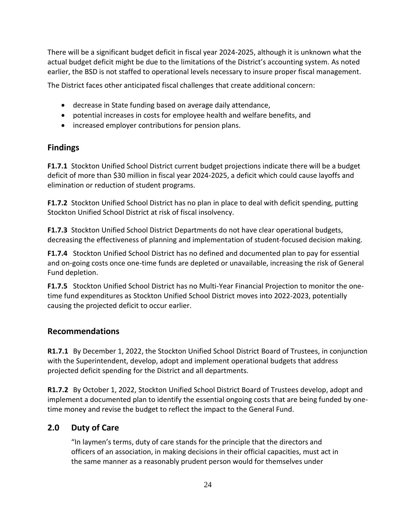There will be a significant budget deficit in fiscal year 2024-2025, although it is unknown what the actual budget deficit might be due to the limitations of the District's accounting system. As noted earlier, the BSD is not staffed to operational levels necessary to insure proper fiscal management.

The District faces other anticipated fiscal challenges that create additional concern:

- decrease in State funding based on average daily attendance,
- potential increases in costs for employee health and welfare benefits, and
- increased employer contributions for pension plans.

### **Findings**

**F1.7.1** Stockton Unified School District current budget projections indicate there will be a budget deficit of more than \$30 million in fiscal year 2024-2025, a deficit which could cause layoffs and elimination or reduction of student programs.

**F1.7.2** Stockton Unified School District has no plan in place to deal with deficit spending, putting Stockton Unified School District at risk of fiscal insolvency.

**F1.7.3** Stockton Unified School District Departments do not have clear operational budgets, decreasing the effectiveness of planning and implementation of student-focused decision making.

**F1.7.4** Stockton Unified School District has no defined and documented plan to pay for essential and on-going costs once one-time funds are depleted or unavailable, increasing the risk of General Fund depletion.

**F1.7.5** Stockton Unified School District has no Multi-Year Financial Projection to monitor the onetime fund expenditures as Stockton Unified School District moves into 2022-2023, potentially causing the projected deficit to occur earlier.

## **Recommendations**

**R1.7.1** By December 1, 2022, the Stockton Unified School District Board of Trustees, in conjunction with the Superintendent, develop, adopt and implement operational budgets that address projected deficit spending for the District and all departments.

**R1.7.2** By October 1, 2022, Stockton Unified School District Board of Trustees develop, adopt and implement a documented plan to identify the essential ongoing costs that are being funded by onetime money and revise the budget to reflect the impact to the General Fund.

# **2.0 Duty of Care**

"In laymen's terms, duty of care stands for the principle that the directors and officers of an association, in making decisions in their official capacities, must act in the same manner as a reasonably prudent person would for themselves under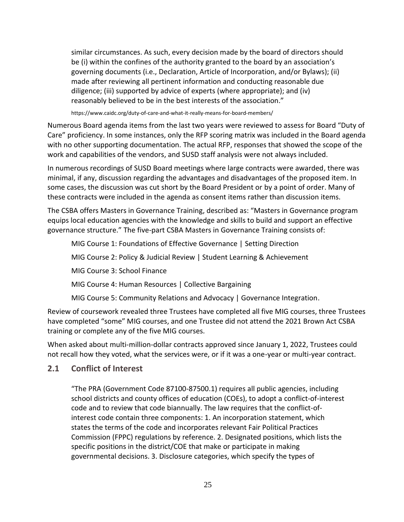similar circumstances. As such, every decision made by the board of directors should be (i) within the confines of the authority granted to the board by an association's governing documents (i.e., Declaration, Article of Incorporation, and/or Bylaws); (ii) made after reviewing all pertinent information and conducting reasonable due diligence; (iii) supported by advice of experts (where appropriate); and (iv) reasonably believed to be in the best interests of the association."

https://www.caidc.org/duty-of-care-and-what-it-really-means-for-board-members/

Numerous Board agenda items from the last two years were reviewed to assess for Board "Duty of Care" proficiency. In some instances, only the RFP scoring matrix was included in the Board agenda with no other supporting documentation. The actual RFP, responses that showed the scope of the work and capabilities of the vendors, and SUSD staff analysis were not always included.

In numerous recordings of SUSD Board meetings where large contracts were awarded, there was minimal, if any, discussion regarding the advantages and disadvantages of the proposed item. In some cases, the discussion was cut short by the Board President or by a point of order. Many of these contracts were included in the agenda as consent items rather than discussion items.

The CSBA offers Masters in Governance Training, described as: "Masters in Governance program equips local education agencies with the knowledge and skills to build and support an effective governance structure." The five-part CSBA Masters in Governance Training consists of:

MIG Course 1: Foundations of Effective Governance | Setting Direction MIG Course 2: Policy & Judicial Review | Student Learning & Achievement MIG Course 3: School Finance MIG Course 4: Human Resources | Collective Bargaining MIG Course 5: Community Relations and Advocacy | Governance Integration.

Review of coursework revealed three Trustees have completed all five MIG courses, three Trustees have completed "some" MIG courses, and one Trustee did not attend the 2021 Brown Act CSBA training or complete any of the five MIG courses.

When asked about multi-million-dollar contracts approved since January 1, 2022, Trustees could not recall how they voted, what the services were, or if it was a one-year or multi-year contract.

### **2.1 Conflict of Interest**

"The PRA (Government Code 87100-87500.1) requires all public agencies, including school districts and county offices of education (COEs), to adopt a conflict-of-interest code and to review that code biannually. The law requires that the conflict-ofinterest code contain three components: 1. An incorporation statement, which states the terms of the code and incorporates relevant Fair Political Practices Commission (FPPC) regulations by reference. 2. Designated positions, which lists the specific positions in the district/COE that make or participate in making governmental decisions. 3. Disclosure categories, which specify the types of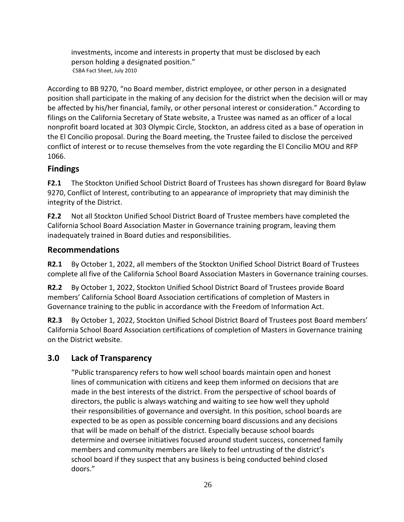investments, income and interests in property that must be disclosed by each person holding a designated position." CSBA Fact Sheet, July 2010

According to BB 9270, "no Board member, district employee, or other person in a designated position shall participate in the making of any decision for the district when the decision will or may be affected by his/her financial, family, or other personal interest or consideration." According to filings on the California Secretary of State website, a Trustee was named as an officer of a local nonprofit board located at 303 Olympic Circle, Stockton, an address cited as a base of operation in the El Concilio proposal. During the Board meeting, the Trustee failed to disclose the perceived conflict of interest or to recuse themselves from the vote regarding the El Concilio MOU and RFP 1066.

## **Findings**

**F2.1** The Stockton Unified School District Board of Trustees has shown disregard for Board Bylaw 9270, Conflict of Interest, contributing to an appearance of impropriety that may diminish the integrity of the District.

**F2.2** Not all Stockton Unified School District Board of Trustee members have completed the California School Board Association Master in Governance training program, leaving them inadequately trained in Board duties and responsibilities.

## **Recommendations**

**R2.1** By October 1, 2022, all members of the Stockton Unified School District Board of Trustees complete all five of the California School Board Association Masters in Governance training courses.

**R2.2** By October 1, 2022, Stockton Unified School District Board of Trustees provide Board members' California School Board Association certifications of completion of Masters in Governance training to the public in accordance with the Freedom of Information Act.

**R2.3** By October 1, 2022, Stockton Unified School District Board of Trustees post Board members' California School Board Association certifications of completion of Masters in Governance training on the District website.

# **3.0 Lack of Transparency**

"Public transparency refers to how well school boards maintain open and honest lines of communication with citizens and keep them informed on decisions that are made in the best interests of the district. From the perspective of school boards of directors, the public is always watching and waiting to see how well they uphold their responsibilities of governance and oversight. In this position, school boards are expected to be as open as possible concerning board discussions and any decisions that will be made on behalf of the district. Especially because school boards determine and oversee initiatives focused around student success, concerned family members and community members are likely to feel untrusting of the district's school board if they suspect that any business is being conducted behind closed doors."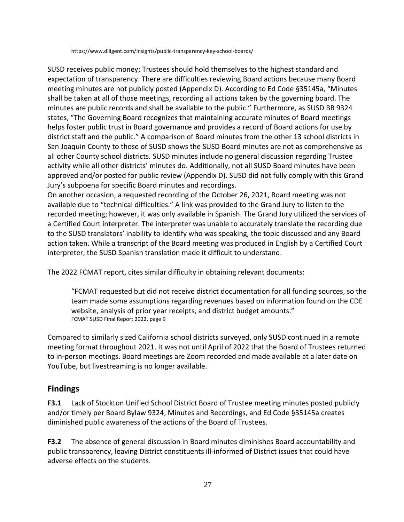https://www.diligent.com/insights/public-transparency-key-school-boards/

SUSD receives public money; Trustees should hold themselves to the highest standard and expectation of transparency. There are difficulties reviewing Board actions because many Board meeting minutes are not publicly posted (Appendix D). According to Ed Code §35145a, "Minutes shall be taken at all of those meetings, recording all actions taken by the governing board. The minutes are public records and shall be available to the public." Furthermore, as SUSD BB 9324 states, "The Governing Board recognizes that maintaining accurate minutes of Board meetings helps foster public trust in Board governance and provides a record of Board actions for use by district staff and the public." A comparison of Board minutes from the other 13 school districts in San Joaquin County to those of SUSD shows the SUSD Board minutes are not as comprehensive as all other County school districts. SUSD minutes include no general discussion regarding Trustee activity while all other districts' minutes do. Additionally, not all SUSD Board minutes have been approved and/or posted for public review (Appendix D). SUSD did not fully comply with this Grand Jury's subpoena for specific Board minutes and recordings.

On another occasion, a requested recording of the October 26, 2021, Board meeting was not available due to "technical difficulties." A link was provided to the Grand Jury to listen to the recorded meeting; however, it was only available in Spanish. The Grand Jury utilized the services of a Certified Court interpreter. The interpreter was unable to accurately translate the recording due to the SUSD translators' inability to identify who was speaking, the topic discussed and any Board action taken. While a transcript of the Board meeting was produced in English by a Certified Court interpreter, the SUSD Spanish translation made it difficult to understand.

The 2022 FCMAT report, cites similar difficulty in obtaining relevant documents:

"FCMAT requested but did not receive district documentation for all funding sources, so the team made some assumptions regarding revenues based on information found on the CDE website, analysis of prior year receipts, and district budget amounts." FCMAT SUSD Final Report 2022, page 9

Compared to similarly sized California school districts surveyed, only SUSD continued in a remote meeting format throughout 2021. It was not until April of 2022 that the Board of Trustees returned to in-person meetings. Board meetings are Zoom recorded and made available at a later date on YouTube, but livestreaming is no longer available.

## **Findings**

**F3.1** Lack of Stockton Unified School District Board of Trustee meeting minutes posted publicly and/or timely per Board Bylaw 9324, Minutes and Recordings, and Ed Code §35145a creates diminished public awareness of the actions of the Board of Trustees.

**F3.2** The absence of general discussion in Board minutes diminishes Board accountability and public transparency, leaving District constituents ill-informed of District issues that could have adverse effects on the students.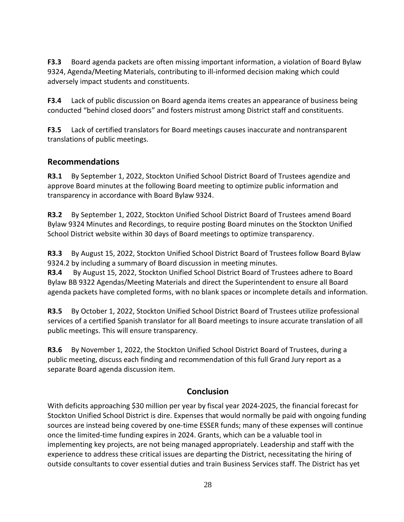**F3.3** Board agenda packets are often missing important information, a violation of Board Bylaw 9324, Agenda/Meeting Materials, contributing to ill-informed decision making which could adversely impact students and constituents.

**F3.4** Lack of public discussion on Board agenda items creates an appearance of business being conducted "behind closed doors" and fosters mistrust among District staff and constituents.

**F3.5** Lack of certified translators for Board meetings causes inaccurate and nontransparent translations of public meetings.

### **Recommendations**

**R3.1** By September 1, 2022, Stockton Unified School District Board of Trustees agendize and approve Board minutes at the following Board meeting to optimize public information and transparency in accordance with Board Bylaw 9324.

**R3.2** By September 1, 2022, Stockton Unified School District Board of Trustees amend Board Bylaw 9324 Minutes and Recordings, to require posting Board minutes on the Stockton Unified School District website within 30 days of Board meetings to optimize transparency.

**R3.3** By August 15, 2022, Stockton Unified School District Board of Trustees follow Board Bylaw 9324.2 by including a summary of Board discussion in meeting minutes.

**R3.4** By August 15, 2022, Stockton Unified School District Board of Trustees adhere to Board Bylaw BB 9322 Agendas/Meeting Materials and direct the Superintendent to ensure all Board agenda packets have completed forms, with no blank spaces or incomplete details and information.

**R3.5** By October 1, 2022, Stockton Unified School District Board of Trustees utilize professional services of a certified Spanish translator for all Board meetings to insure accurate translation of all public meetings. This will ensure transparency.

**R3.6** By November 1, 2022, the Stockton Unified School District Board of Trustees, during a public meeting, discuss each finding and recommendation of this full Grand Jury report as a separate Board agenda discussion item.

## **Conclusion**

With deficits approaching \$30 million per year by fiscal year 2024-2025, the financial forecast for Stockton Unified School District is dire. Expenses that would normally be paid with ongoing funding sources are instead being covered by one-time ESSER funds; many of these expenses will continue once the limited-time funding expires in 2024. Grants, which can be a valuable tool in implementing key projects, are not being managed appropriately. Leadership and staff with the experience to address these critical issues are departing the District, necessitating the hiring of outside consultants to cover essential duties and train Business Services staff. The District has yet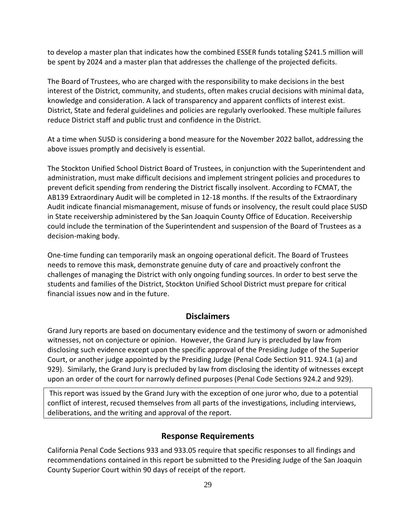to develop a master plan that indicates how the combined ESSER funds totaling \$241.5 million will be spent by 2024 and a master plan that addresses the challenge of the projected deficits.

The Board of Trustees, who are charged with the responsibility to make decisions in the best interest of the District, community, and students, often makes crucial decisions with minimal data, knowledge and consideration. A lack of transparency and apparent conflicts of interest exist. District, State and federal guidelines and policies are regularly overlooked. These multiple failures reduce District staff and public trust and confidence in the District.

At a time when SUSD is considering a bond measure for the November 2022 ballot, addressing the above issues promptly and decisively is essential.

The Stockton Unified School District Board of Trustees, in conjunction with the Superintendent and administration, must make difficult decisions and implement stringent policies and procedures to prevent deficit spending from rendering the District fiscally insolvent. According to FCMAT, the AB139 Extraordinary Audit will be completed in 12-18 months. If the results of the Extraordinary Audit indicate financial mismanagement, misuse of funds or insolvency, the result could place SUSD in State receivership administered by the San Joaquin County Office of Education. Receivership could include the termination of the Superintendent and suspension of the Board of Trustees as a decision-making body.

One-time funding can temporarily mask an ongoing operational deficit. The Board of Trustees needs to remove this mask, demonstrate genuine duty of care and proactively confront the challenges of managing the District with only ongoing funding sources. In order to best serve the students and families of the District, Stockton Unified School District must prepare for critical financial issues now and in the future.

### **Disclaimers**

Grand Jury reports are based on documentary evidence and the testimony of sworn or admonished witnesses, not on conjecture or opinion. However, the Grand Jury is precluded by law from disclosing such evidence except upon the specific approval of the Presiding Judge of the Superior Court, or another judge appointed by the Presiding Judge (Penal Code Section 911. 924.1 (a) and 929). Similarly, the Grand Jury is precluded by law from disclosing the identity of witnesses except upon an order of the court for narrowly defined purposes (Penal Code Sections 924.2 and 929).

This report was issued by the Grand Jury with the exception of one juror who, due to a potential conflict of interest, recused themselves from all parts of the investigations, including interviews, deliberations, and the writing and approval of the report.

### **Response Requirements**

California Penal Code Sections 933 and 933.05 require that specific responses to all findings and recommendations contained in this report be submitted to the Presiding Judge of the San Joaquin County Superior Court within 90 days of receipt of the report.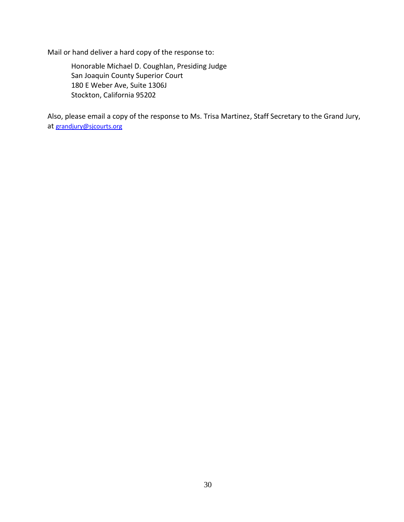Mail or hand deliver a hard copy of the response to:

Honorable Michael D. Coughlan, Presiding Judge San Joaquin County Superior Court 180 E Weber Ave, Suite 1306J Stockton, California 95202

Also, please email a copy of the response to Ms. Trisa Martinez, Staff Secretary to the Grand Jury, at [grandjury@sjcourts.org](mailto:grandjury@sjcourts.org)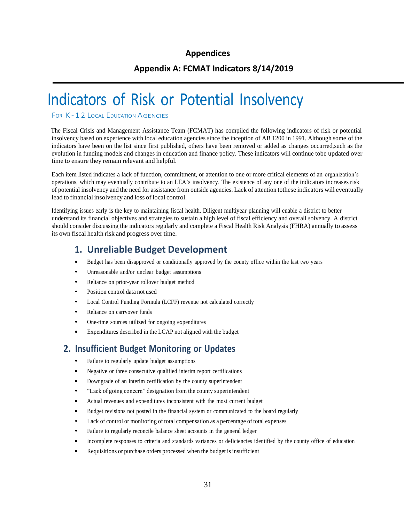### **Appendices**

### **Appendix A: FCMAT Indicators 8/14/2019**

# Indicators of Risk or Potential Insolvency

FOR K-12 LOCAL EDUCATION AGENCIES

The Fiscal Crisis and Management Assistance Team (FCMAT) has compiled the following indicators of risk or potential insolvency based on experience with local education agencies since the inception of AB 1200 in 1991. Although some of the indicators have been on the list since first published, others have been removed or added as changes occurred,such as the evolution in funding models and changes in education and finance policy. These indicators will continue tobe updated over time to ensure they remain relevant and helpful.

Each item listed indicates a lack of function, commitment, or attention to one or more critical elements of an organization's operations, which may eventually contribute to an LEA's insolvency. The existence of any one of the indicators increases risk of potential insolvency and the need for assistance from outside agencies. Lack of attention tothese indicators will eventually lead to financial insolvency and loss of local control.

Identifying issues early is the key to maintaining fiscal health. Diligent multiyear planning will enable a district to better understand its financial objectives and strategies to sustain a high level of fiscal efficiency and overall solvency. A district should consider discussing the indicators regularly and complete a Fiscal Health Risk Analysis (FHRA) annually to assess its own fiscal health risk and progress over time.

## **1. Unreliable Budget Development**

- Budget has been disapproved or conditionally approved by the county office within the last two years
- Unreasonable and/or unclear budget assumptions
- Reliance on prior-year rollover budget method
- Position control data not used
- Local Control Funding Formula (LCFF) revenue not calculated correctly
- Reliance on carryover funds
- One-time sources utilized for ongoing expenditures
- Expenditures described in the LCAP not aligned with the budget

### **2. Insufficient Budget Monitoring or Updates**

- Failure to regularly update budget assumptions
- Negative or three consecutive qualified interim report certifications
- Downgrade of an interim certification by the county superintendent
- "Lack of going concern" designation from the county superintendent
- Actual revenues and expenditures inconsistent with the most current budget
- Budget revisions not posted in the financial system or communicated to the board regularly
- Lack of control or monitoring of total compensation as a percentage of total expenses
- Failure to regularly reconcile balance sheet accounts in the general ledger
- Incomplete responses to criteria and standards variances or deficiencies identified by the county office of education
- Requisitions or purchase orders processed when the budget is insufficient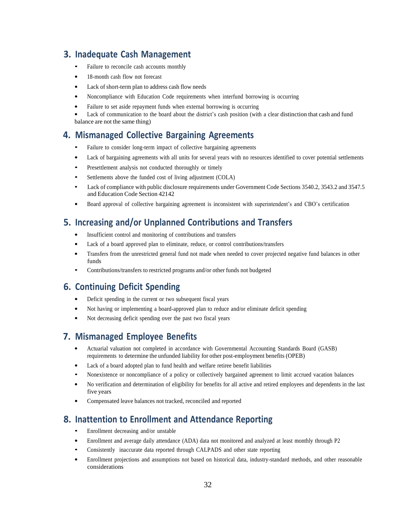## **3. Inadequate Cash Management**

- Failure to reconcile cash accounts monthly
- 18-month cash flow not forecast
- Lack of short-term plan to address cash flow needs
- Noncompliance with Education Code requirements when interfund borrowing is occurring
- Failure to set aside repayment funds when external borrowing is occurring

Lack of communication to the board about the district's cash position (with a clear distinction that cash and fund balance are not the same thing)

## **4. Mismanaged Collective Bargaining Agreements**

- Failure to consider long-term impact of collective bargaining agreements
- Lack of bargaining agreements with all units for several years with no resources identified to cover potential settlements
- Presettlement analysis not conducted thoroughly or timely
- Settlements above the funded cost of living adjustment (COLA)
- Lack of compliance with public disclosure requirements under Government Code Sections 3540.2, 3543.2 and 3547.5 and Education Code Section 42142
- Board approval of collective bargaining agreement is inconsistent with superintendent's and CBO's certification

## **5. Increasing and/or Unplanned Contributions and Transfers**

- Insufficient control and monitoring of contributions and transfers
- Lack of a board approved plan to eliminate, reduce, or control contributions/transfers
- Transfers from the unrestricted general fund not made when needed to cover projected negative fund balances in other funds
- Contributions/transfers to restricted programs and/or other funds not budgeted

### **6. Continuing Deficit Spending**

- Deficit spending in the current or two subsequent fiscal years
- Not having or implementing a board-approved plan to reduce and/or eliminate deficit spending
- Not decreasing deficit spending over the past two fiscal years

## **7. Mismanaged Employee Benefits**

- Actuarial valuation not completed in accordance with Governmental Accounting Standards Board (GASB) requirements to determine the unfunded liability for other post-employment benefits (OPEB)
- Lack of a board adopted plan to fund health and welfare retiree benefit liabilities
- Nonexistence or noncompliance of <sup>a</sup> policy or collectively bargained agreement to limit accrued vacation balances
- No verification and determination of eligibility for benefits for all active and retired employees and dependents in the last five years
- Compensated leave balances not tracked, reconciled and reported

## **8. Inattention to Enrollment and Attendance Reporting**

- Enrollment decreasing and/or unstable
- Enrollment and average daily attendance (ADA) data not monitored and analyzed at least monthly through P2
- Consistently inaccurate data reported through CALPADS and other state reporting
- Enrollment projections and assumptions not based on historical data, industry-standard methods, and other reasonable considerations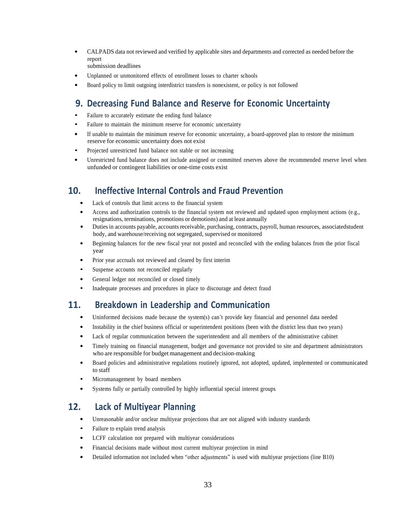- CALPADS data not reviewed and verified by applicable sites and departments and corrected as needed before the report
	- submission deadlines
- Unplanned or unmonitored effects of enrollment losses to charter schools
- Board policy to limit outgoing interdistrict transfers is nonexistent, or policy is not followed

## **9. Decreasing Fund Balance and Reserve for Economic Uncertainty**

- Failure to accurately estimate the ending fund balance
- Failure to maintain the minimum reserve for economic uncertainty
- If unable to maintain the minimum reserve for economic uncertainty, a board-approved plan to restore the minimum reserve for economic uncertainty does not exist
- Projected unrestricted fund balance not stable or not increasing
- Unrestricted fund balance does not include assigned or committed reserves above the recommended reserve level when unfunded or contingent liabilities or one-time costs exist

## **10. Ineffective Internal Controls and Fraud Prevention**

- Lack of controls that limit access to the financial system
- Access and authorization controls to the financial system not reviewed and updated upon employment actions (e.g., resignations, terminations, promotions or demotions) and at least annually
- Duties in accounts payable, accounts receivable, purchasing, contracts, payroll, human resources, associatedstudent body, and warehouse/receiving not segregated, supervised or monitored
- Beginning balances for the new fiscal year not posted and reconciled with the ending balances from the prior fiscal year
- Prior year accruals not reviewed and cleared by first interim
- Suspense accounts not reconciled regularly
- General ledger not reconciled or closed timely
- Inadequate processes and procedures in place to discourage and detect fraud

### **11. Breakdown in Leadership and Communication**

- Uninformed decisions made because the system(s) can't provide key financial and personnel data needed
- Instability in the chief business official or superintendent positions (been with the district less than two years)
- Lack of regular communication between the superintendent and all members of the administrative cabinet
- Timely training on financial management, budget and governance not provided to site and department administrators who are responsible for budget management and decision-making
- Board policies and administrative regulations routinely ignored, not adopted, updated, implemented or communicated to staff
- Micromanagement by board members
- Systems fully or partially controlled by highly influential special interest groups

### **12. Lack of Multiyear Planning**

- Unreasonable and/or unclear multiyear projections that are not aligned with industry standards
- Failure to explain trend analysis
- LCFF calculation not prepared with multiyear considerations
- Financial decisions made without most current multiyear projection in mind
- Detailed information not included when "other adjustments" is used with multiyear projections (line B10)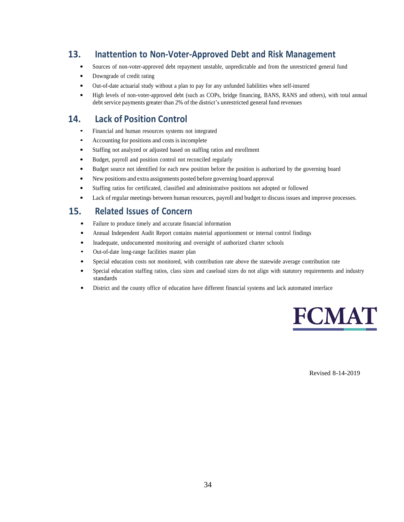# **13. Inattention to Non-Voter-Approved Debt and Risk Management**

- Sources of non-voter-approved debt repayment unstable, unpredictable and from the unrestricted general fund
- Downgrade of credit rating
- Out-of-date actuarial study without a plan to pay for any unfunded liabilities when self-insured
- High levels of non-voter-approved debt (such as COPs, bridge financing, BANS, RANS and others), with total annual debt service payments greater than 2% of the district's unrestricted general fund revenues

# **14. Lack of Position Control**

- Financial and human resources systems not integrated
- Accounting for positions and costs is incomplete
- Staffing not analyzed or adjusted based on staffing ratios and enrollment
- Budget, payroll and position control not reconciled regularly
- Budget source not identified for each new position before the position is authorized by the governing board
- New positions and extra assignments posted before governing board approval
- Staffing ratios for certificated, classified and administrative positions not adopted or followed
- Lack of regular meetings between human resources, payroll and budget to discuss issues and improve processes.

## **15. Related Issues of Concern**

- Failure to produce timely and accurate financial information
- Annual Independent Audit Report contains material apportionment or internal control findings
- Inadequate, undocumented monitoring and oversight of authorized charter schools
- Out-of-date long-range facilities master plan
- Special education costs not monitored, with contribution rate above the statewide average contribution rate
- Special education staffing ratios, class sizes and caseload sizes do not align with statutory requirements and industry standards
- District and the county office of education have different financial systems and lack automated interface



Revised 8-14-2019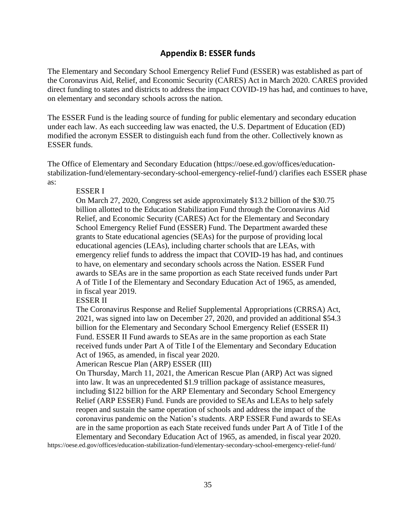### **Appendix B: ESSER funds**

The Elementary and Secondary School Emergency Relief Fund (ESSER) was established as part of the Coronavirus Aid, Relief, and Economic Security (CARES) Act in March 2020. CARES provided direct funding to states and districts to address the impact COVID-19 has had, and continues to have, on elementary and secondary schools across the nation.

The ESSER Fund is the leading source of funding for public elementary and secondary education under each law. As each succeeding law was enacted, the U.S. Department of Education (ED) modified the acronym ESSER to distinguish each fund from the other. Collectively known as ESSER funds.

The Office of Elementary and Secondary Education (https://oese.ed.gov/offices/educationstabilization-fund/elementary-secondary-school-emergency-relief-fund/) clarifies each ESSER phase as:

### ESSER I

On March 27, 2020, Congress set aside approximately \$13.2 billion of the \$30.75 billion allotted to the Education Stabilization Fund through the Coronavirus Aid Relief, and Economic Security (CARES) Act for the Elementary and Secondary School Emergency Relief Fund (ESSER) Fund. The Department awarded these grants to State educational agencies (SEAs) for the purpose of providing local educational agencies (LEAs), including charter schools that are LEAs, with emergency relief funds to address the impact that COVID-19 has had, and continues to have, on elementary and secondary schools across the Nation. ESSER Fund awards to SEAs are in the same proportion as each State received funds under Part A of Title I of the Elementary and Secondary Education Act of 1965, as amended, in fiscal year 2019.

ESSER II

The Coronavirus Response and Relief Supplemental Appropriations (CRRSA) Act, 2021, was signed into law on December 27, 2020, and provided an additional \$54.3 billion for the Elementary and Secondary School Emergency Relief (ESSER II) Fund. ESSER II Fund awards to SEAs are in the same proportion as each State received funds under Part A of Title I of the Elementary and Secondary Education Act of 1965, as amended, in fiscal year 2020.

### American Rescue Plan (ARP) ESSER (III)

On Thursday, March 11, 2021, the American Rescue Plan (ARP) Act was signed into law. It was an unprecedented \$1.9 trillion package of assistance measures, including \$122 billion for the ARP Elementary and Secondary School Emergency Relief (ARP ESSER) Fund. Funds are provided to SEAs and LEAs to help safely reopen and sustain the same operation of schools and address the impact of the coronavirus pandemic on the Nation's students. ARP ESSER Fund awards to SEAs are in the same proportion as each State received funds under Part A of Title I of the Elementary and Secondary Education Act of 1965, as amended, in fiscal year 2020.

https://oese.ed.gov/offices/education-stabilization-fund/elementary-secondary-school-emergency-relief-fund/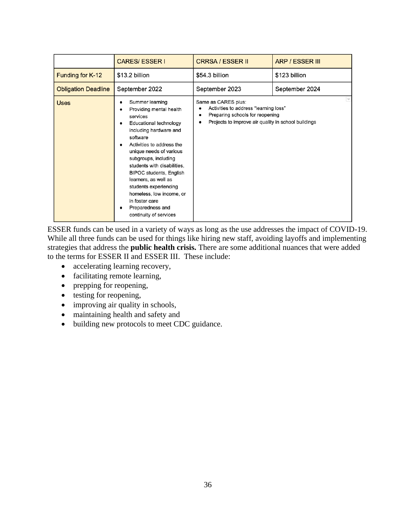|                            | <b>CARES/ESSERI</b>                                                                                                                                                                                                                                                                                                                                                                                                         | <b>CRRSA / ESSER II</b>                                                                                                                                     | <b>ARP / ESSER III</b> |
|----------------------------|-----------------------------------------------------------------------------------------------------------------------------------------------------------------------------------------------------------------------------------------------------------------------------------------------------------------------------------------------------------------------------------------------------------------------------|-------------------------------------------------------------------------------------------------------------------------------------------------------------|------------------------|
| Funding for K-12           | \$13.2 billion                                                                                                                                                                                                                                                                                                                                                                                                              | \$54.3 billion                                                                                                                                              | \$123 billion          |
| <b>Obligation Deadline</b> | September 2022                                                                                                                                                                                                                                                                                                                                                                                                              | September 2023                                                                                                                                              | September 2024         |
| <b>Uses</b>                | Summer learning<br>Providing mental health<br>services<br><b>Educational technology</b><br>including hardware and<br>software<br>Activities to address the<br>unique needs of various<br>subgroups, including<br>students with disabilities,<br><b>BIPOC students, English</b><br>learners, as well as<br>students experiencing<br>homeless, low income, or<br>in foster care<br>Preparedness and<br>continuity of services | Same as CARES plus:<br>Activities to address "learning loss"<br>Preparing schools for reopening<br>Projects to improve air quality in school buildings<br>٠ |                        |

ESSER funds can be used in a variety of ways as long as the use addresses the impact of COVID-19. While all three funds can be used for things like hiring new staff, avoiding layoffs and implementing strategies that address the **public health crisis.** There are some additional nuances that were added to the terms for ESSER II and ESSER III. These include:

- accelerating learning recovery,
- facilitating remote learning,
- prepping for reopening,
- testing for reopening,
- improving air quality in schools,
- maintaining health and safety and
- building new protocols to meet CDC guidance.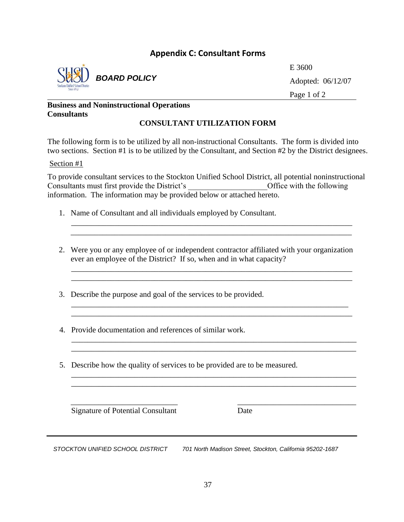### **Appendix C: Consultant Forms**



*BOARD POLICY*

E 3600 Adopted: 06/12/07 Page 1 of 2

### **Business and Noninstructional Operations Consultants**

### **CONSULTANT UTILIZATION FORM**

The following form is to be utilized by all non-instructional Consultants. The form is divided into two sections. Section #1 is to be utilized by the Consultant, and Section #2 by the District designees.

### Section #1

To provide consultant services to the Stockton Unified School District, all potential noninstructional Consultants must first provide the District's \_\_\_\_\_\_\_\_\_\_\_\_\_\_\_\_\_\_\_\_Office with the following information. The information may be provided below or attached hereto.

\_\_\_\_\_\_\_\_\_\_\_\_\_\_\_\_\_\_\_\_\_\_\_\_\_\_\_\_\_\_\_\_\_\_\_\_\_\_\_\_\_\_\_\_\_\_\_\_\_\_\_\_\_\_\_\_\_\_\_\_\_\_\_\_\_\_\_\_\_\_\_ \_\_\_\_\_\_\_\_\_\_\_\_\_\_\_\_\_\_\_\_\_\_\_\_\_\_\_\_\_\_\_\_\_\_\_\_\_\_\_\_\_\_\_\_\_\_\_\_\_\_\_\_\_\_\_\_\_\_\_\_\_\_\_\_\_\_\_\_\_\_\_

- 1. Name of Consultant and all individuals employed by Consultant.
- 2. Were you or any employee of or independent contractor affiliated with your organization ever an employee of the District? If so, when and in what capacity?

\_\_\_\_\_\_\_\_\_\_\_\_\_\_\_\_\_\_\_\_\_\_\_\_\_\_\_\_\_\_\_\_\_\_\_\_\_\_\_\_\_\_\_\_\_\_\_\_\_\_\_\_\_\_\_\_\_\_\_\_\_\_\_\_\_\_\_\_\_\_ \_\_\_\_\_\_\_\_\_\_\_\_\_\_\_\_\_\_\_\_\_\_\_\_\_\_\_\_\_\_\_\_\_\_\_\_\_\_\_\_\_\_\_\_\_\_\_\_\_\_\_\_\_\_\_\_\_\_\_\_\_\_\_\_\_\_\_\_\_\_\_

 $\overline{\phantom{a}}$  , and the contribution of the contribution of the contribution of the contribution of the contribution of the contribution of the contribution of the contribution of the contribution of the contribution of the

 $\overline{\phantom{a}}$  , and the contribution of the contribution of the contribution of the contribution of the contribution of the contribution of the contribution of the contribution of the contribution of the contribution of the

 $\overline{\phantom{a}}$  , and the contract of the contract of the contract of the contract of the contract of the contract of the contract of the contract of the contract of the contract of the contract of the contract of the contrac

 \_\_\_\_\_\_\_\_\_\_\_\_\_\_\_\_\_\_\_\_\_\_\_\_\_\_\_\_\_\_\_\_\_\_\_\_\_\_\_\_\_\_\_\_\_\_\_\_\_\_\_\_\_\_\_\_\_\_\_\_\_\_\_\_\_\_\_\_\_\_\_ \_\_\_\_\_\_\_\_\_\_\_\_\_\_\_\_\_\_\_\_\_\_\_\_\_\_\_\_\_\_\_\_\_\_\_\_\_\_\_\_\_\_\_\_\_\_\_\_\_\_\_\_\_\_\_\_\_\_\_\_\_\_\_\_\_\_\_\_\_\_\_

\_\_\_\_\_\_\_\_\_\_\_\_\_\_\_\_\_\_\_\_\_\_\_\_\_\_\_\_\_\_\_\_\_\_\_\_\_\_\_\_\_\_\_\_\_\_\_\_\_\_\_\_\_\_\_\_\_\_\_\_\_\_\_\_\_\_\_\_\_\_\_\_

- 3. Describe the purpose and goal of the services to be provided.
- 4. Provide documentation and references of similar work.
- 5. Describe how the quality of services to be provided are to be measured.

Signature of Potential Consultant Date

*STOCKTON UNIFIED SCHOOL DISTRICT 701 North Madison Street, Stockton, California 95202-1687*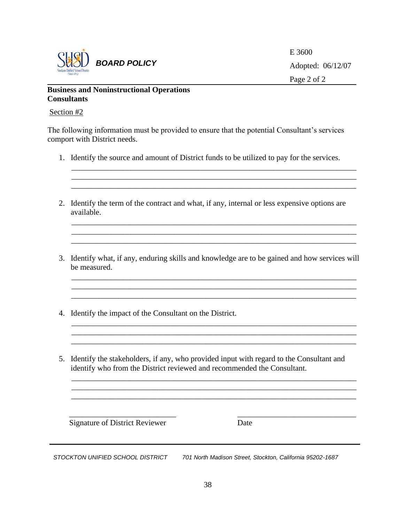

E 3600 Adopted: 06/12/07 Page 2 of 2

### **Business and Noninstructional Operations Consultants**

### Section #2

The following information must be provided to ensure that the potential Consultant's services comport with District needs.

1. Identify the source and amount of District funds to be utilized to pay for the services.

\_\_\_\_\_\_\_\_\_\_\_\_\_\_\_\_\_\_\_\_\_\_\_\_\_\_\_\_\_\_\_\_\_\_\_\_\_\_\_\_\_\_\_\_\_\_\_\_\_\_\_\_\_\_\_\_\_\_\_\_\_\_\_\_\_\_\_\_\_\_\_\_

\_\_\_\_\_\_\_\_\_\_\_\_\_\_\_\_\_\_\_\_\_\_\_\_\_\_\_\_\_\_\_\_\_\_\_\_\_\_\_\_\_\_\_\_\_\_\_\_\_\_\_\_\_\_\_\_\_\_\_\_\_\_\_\_\_\_\_\_\_\_\_\_

\_\_\_\_\_\_\_\_\_\_\_\_\_\_\_\_\_\_\_\_\_\_\_\_\_\_\_\_\_\_\_\_\_\_\_\_\_\_\_\_\_\_\_\_\_\_\_\_\_\_\_\_\_\_\_\_\_\_\_\_\_\_\_\_\_\_\_\_\_\_\_\_ \_\_\_\_\_\_\_\_\_\_\_\_\_\_\_\_\_\_\_\_\_\_\_\_\_\_\_\_\_\_\_\_\_\_\_\_\_\_\_\_\_\_\_\_\_\_\_\_\_\_\_\_\_\_\_\_\_\_\_\_\_\_\_\_\_\_\_\_\_\_\_\_

- 2. Identify the term of the contract and what, if any, internal or less expensive options are available.
- 3. Identify what, if any, enduring skills and knowledge are to be gained and how services will be measured.

\_\_\_\_\_\_\_\_\_\_\_\_\_\_\_\_\_\_\_\_\_\_\_\_\_\_\_\_\_\_\_\_\_\_\_\_\_\_\_\_\_\_\_\_\_\_\_\_\_\_\_\_\_\_\_\_\_\_\_\_\_\_\_\_\_\_\_\_\_\_\_\_ \_\_\_\_\_\_\_\_\_\_\_\_\_\_\_\_\_\_\_\_\_\_\_\_\_\_\_\_\_\_\_\_\_\_\_\_\_\_\_\_\_\_\_\_\_\_\_\_\_\_\_\_\_\_\_\_\_\_\_\_\_\_\_\_\_\_\_\_\_\_\_\_

- 4. Identify the impact of the Consultant on the District.
- 5. Identify the stakeholders, if any, who provided input with regard to the Consultant and identify who from the District reviewed and recommended the Consultant.

\_\_\_\_\_\_\_\_\_\_\_\_\_\_\_\_\_\_\_\_\_\_\_\_\_\_\_\_\_\_\_\_\_\_\_\_\_\_\_\_\_\_\_\_\_\_\_\_\_\_\_\_\_\_\_\_\_\_\_\_\_\_\_\_\_\_\_\_\_\_\_\_ \_\_\_\_\_\_\_\_\_\_\_\_\_\_\_\_\_\_\_\_\_\_\_\_\_\_\_\_\_\_\_\_\_\_\_\_\_\_\_\_\_\_\_\_\_\_\_\_\_\_\_\_\_\_\_\_\_\_\_\_\_\_\_\_\_\_\_\_\_\_\_\_ \_\_\_\_\_\_\_\_\_\_\_\_\_\_\_\_\_\_\_\_\_\_\_\_\_\_\_\_\_\_\_\_\_\_\_\_\_\_\_\_\_\_\_\_\_\_\_\_\_\_\_\_\_\_\_\_\_\_\_\_\_\_\_\_\_\_\_\_\_\_\_\_

\_\_\_\_\_\_\_\_\_\_\_\_\_\_\_\_\_\_\_\_\_\_\_\_\_\_\_ \_\_\_\_\_\_\_\_\_\_\_\_\_\_\_\_\_\_\_\_\_\_\_\_\_\_\_\_\_\_

Signature of District Reviewer Date

*STOCKTON UNIFIED SCHOOL DISTRICT 701 North Madison Street, Stockton, California 95202-1687*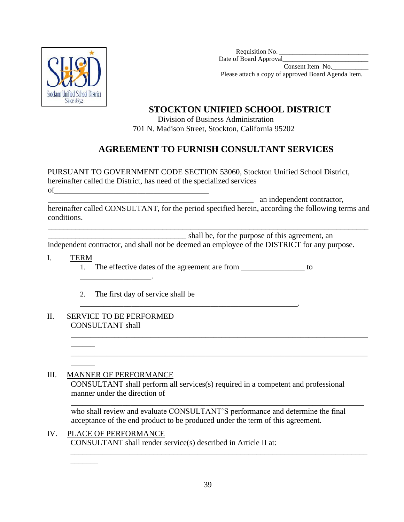

Requisition No. Date of Board Approval\_ Consent Item No.\_\_\_\_\_\_\_\_\_\_\_

Please attach a copy of approved Board Agenda Item.

# **STOCKTON UNIFIED SCHOOL DISTRICT**

 Division of Business Administration 701 N. Madison Street, Stockton, California 95202

# **AGREEMENT TO FURNISH CONSULTANT SERVICES**

PURSUANT TO GOVERNMENT CODE SECTION 53060, Stockton Unified School District, hereinafter called the District, has need of the specialized services  $of$   $\_$ 

\_\_\_\_\_\_\_\_\_\_\_\_\_\_\_\_\_\_\_\_\_\_\_\_\_\_\_\_\_\_\_\_\_\_\_\_\_\_\_\_\_\_\_\_\_\_\_\_\_\_\_\_ an independent contractor,

hereinafter called CONSULTANT, for the period specified herein, according the following terms and conditions.

\_\_\_\_\_\_\_\_\_\_\_\_\_\_\_\_\_\_\_\_\_\_\_\_\_\_\_\_\_\_\_\_\_\_\_\_\_\_\_\_\_\_\_\_\_\_\_\_\_\_\_\_\_\_\_\_\_\_\_\_\_\_\_\_\_\_\_\_\_\_\_\_\_\_\_\_\_\_\_\_\_

\_\_\_\_\_\_\_\_\_\_\_\_\_\_\_\_\_\_\_\_\_\_\_\_\_\_\_\_\_\_\_\_\_\_\_ shall be, for the purpose of this agreement, an

independent contractor, and shall not be deemed an employee of the DISTRICT for any purpose.

I. TERM 1. The effective dates of the agreement are from \_\_\_\_\_\_\_\_\_\_\_\_\_\_\_\_\_\_ to

\_\_\_\_\_\_\_\_\_\_\_\_\_\_\_\_\_\_\_\_\_\_\_\_\_\_\_\_\_\_\_\_\_\_\_\_\_\_\_\_\_\_\_\_\_\_\_\_\_\_\_\_\_\_\_.

- 2. The first day of service shall be
- II. SERVICE TO BE PERFORMED CONSULTANT shall

 $\overline{\phantom{a}}$ 

 $\overline{\phantom{a}}$ 

\_\_\_\_\_\_\_

\_\_\_\_\_\_\_\_\_\_\_\_\_\_\_\_\_\_.

### III. MANNER OF PERFORMANCE

CONSULTANT shall perform all services(s) required in a competent and professional manner under the direction of

\_\_\_\_\_\_\_\_\_\_\_\_\_\_\_\_\_\_\_\_\_\_\_\_\_\_\_\_\_\_\_\_\_\_\_\_\_\_\_\_\_\_\_\_\_\_\_\_\_\_\_\_\_\_\_\_\_\_\_\_\_\_\_\_\_\_\_\_\_\_\_\_\_\_\_

\_\_\_\_\_\_\_\_\_\_\_\_\_\_\_\_\_\_\_\_\_\_\_\_\_\_\_\_\_\_\_\_\_\_\_\_\_\_\_\_\_\_\_\_\_\_\_\_\_\_\_\_\_\_\_\_\_\_\_\_\_\_\_\_\_\_\_\_\_\_\_\_\_\_\_

\_\_\_\_\_\_\_\_\_\_\_\_\_\_\_\_\_\_\_\_\_\_\_\_\_\_\_\_\_\_\_\_\_\_\_\_\_\_\_\_\_\_\_\_\_\_\_\_\_\_\_\_\_\_\_\_\_\_\_\_\_\_\_\_\_\_\_\_\_\_\_\_\_\_ who shall review and evaluate CONSULTANT'S performance and determine the final acceptance of the end product to be produced under the term of this agreement.

IV. PLACE OF PERFORMANCE CONSULTANT shall render service(s) described in Article II at: \_\_\_\_\_\_\_\_\_\_\_\_\_\_\_\_\_\_\_\_\_\_\_\_\_\_\_\_\_\_\_\_\_\_\_\_\_\_\_\_\_\_\_\_\_\_\_\_\_\_\_\_\_\_\_\_\_\_\_\_\_\_\_\_\_\_\_\_\_\_\_\_\_\_\_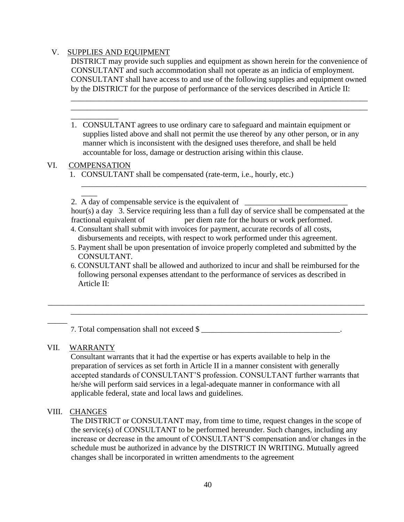### V. SUPPLIES AND EQUIPMENT

DISTRICT may provide such supplies and equipment as shown herein for the convenience of CONSULTANT and such accommodation shall not operate as an indicia of employment. CONSULTANT shall have access to and use of the following supplies and equipment owned by the DISTRICT for the purpose of performance of the services described in Article II:

\_\_\_\_\_\_\_\_\_\_\_\_\_\_\_\_\_\_\_\_\_\_\_\_\_\_\_\_\_\_\_\_\_\_\_\_\_\_\_\_\_\_\_\_\_\_\_\_\_\_\_\_\_\_\_\_\_\_\_\_\_\_\_\_\_\_\_\_\_\_\_\_\_\_\_ \_\_\_\_\_\_\_\_\_\_\_\_\_\_\_\_\_\_\_\_\_\_\_\_\_\_\_\_\_\_\_\_\_\_\_\_\_\_\_\_\_\_\_\_\_\_\_\_\_\_\_\_\_\_\_\_\_\_\_\_\_\_\_\_\_\_\_\_\_\_\_\_\_\_\_

1. CONSULTANT agrees to use ordinary care to safeguard and maintain equipment or supplies listed above and shall not permit the use thereof by any other person, or in any manner which is inconsistent with the designed uses therefore, and shall be held accountable for loss, damage or destruction arising within this clause.

### VI. COMPENSATION

 $\overline{\phantom{a}}$ 

\_\_\_\_\_\_\_\_\_\_\_\_

1. CONSULTANT shall be compensated (rate-term, i.e., hourly, etc.)

2. A day of compensable service is the equivalent of  $\Box$ 

hour(s) a day 3. Service requiring less than a full day of service shall be compensated at the fractional equivalent of per diem rate for the hours or work performed.

\_\_\_\_\_\_\_\_\_\_\_\_\_\_\_\_\_\_\_\_\_\_\_\_\_\_\_\_\_\_\_\_\_\_\_\_\_\_\_\_\_\_\_\_\_\_\_\_\_\_\_\_\_\_\_\_\_\_\_\_\_\_\_\_\_\_\_\_\_\_\_\_

- 4. Consultant shall submit with invoices for payment, accurate records of all costs, disbursements and receipts, with respect to work performed under this agreement.
- 5. Payment shall be upon presentation of invoice properly completed and submitted by the CONSULTANT.
- 6. CONSULTANT shall be allowed and authorized to incur and shall be reimbursed for the following personal expenses attendant to the performance of services as described in Article II:

\_\_\_\_\_\_\_\_\_\_\_\_\_\_\_\_\_\_\_\_\_\_\_\_\_\_\_\_\_\_\_\_\_\_\_\_\_\_\_\_\_\_\_\_\_\_\_\_\_\_\_\_\_\_\_\_\_\_\_\_\_\_\_\_\_\_\_\_\_\_\_\_\_\_\_

\_\_\_\_\_\_\_\_\_\_\_\_\_\_\_\_\_\_\_\_\_\_\_\_\_\_\_\_\_\_\_\_\_\_\_\_\_\_\_\_\_\_\_\_\_\_\_\_\_\_\_\_\_\_\_\_\_\_\_\_\_\_\_\_\_\_\_\_\_\_\_\_\_\_\_\_\_\_\_\_

7. Total compensation shall not exceed \$

### VII. WARRANTY

\_\_\_\_\_

Consultant warrants that it had the expertise or has experts available to help in the preparation of services as set forth in Article II in a manner consistent with generally accepted standards of CONSULTANT'S profession. CONSULTANT further warrants that he/she will perform said services in a legal-adequate manner in conformance with all applicable federal, state and local laws and guidelines.

### VIII. CHANGES

The DISTRICT or CONSULTANT may, from time to time, request changes in the scope of the service(s) of CONSULTANT to be performed hereunder. Such changes, including any increase or decrease in the amount of CONSULTANT'S compensation and/or changes in the schedule must be authorized in advance by the DISTRICT IN WRITING. Mutually agreed changes shall be incorporated in written amendments to the agreement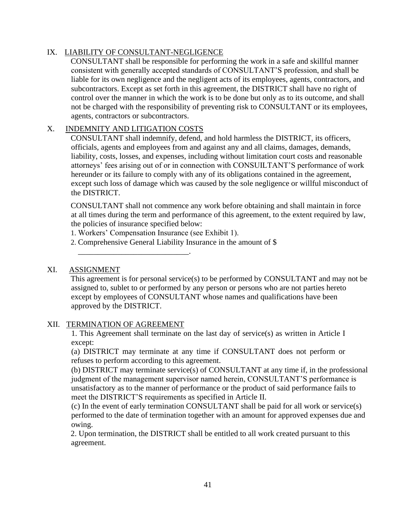### IX. LIABILITY OF CONSULTANT-NEGLIGENCE

CONSULTANT shall be responsible for performing the work in a safe and skillful manner consistent with generally accepted standards of CONSULTANT'S profession, and shall be liable for its own negligence and the negligent acts of its employees, agents, contractors, and subcontractors. Except as set forth in this agreement, the DISTRICT shall have no right of control over the manner in which the work is to be done but only as to its outcome, and shall not be charged with the responsibility of preventing risk to CONSULTANT or its employees, agents, contractors or subcontractors.

### X. INDEMNITY AND LITIGATION COSTS

CONSULTANT shall indemnify, defend, and hold harmless the DISTRICT, its officers, officials, agents and employees from and against any and all claims, damages, demands, liability, costs, losses, and expenses, including without limitation court costs and reasonable attorneys' fees arising out of or in connection with CONSUILTANT'S performance of work hereunder or its failure to comply with any of its obligations contained in the agreement, except such loss of damage which was caused by the sole negligence or willful misconduct of the DISTRICT.

CONSULTANT shall not commence any work before obtaining and shall maintain in force at all times during the term and performance of this agreement, to the extent required by law, the policies of insurance specified below:

1. Workers' Compensation Insurance (see Exhibit 1).

\_\_\_\_\_\_\_\_\_\_\_\_\_\_\_\_\_\_\_\_\_\_\_\_\_\_\_\_.

2. Comprehensive General Liability Insurance in the amount of \$

### XI. ASSIGNMENT

This agreement is for personal service(s) to be performed by CONSULTANT and may not be assigned to, sublet to or performed by any person or persons who are not parties hereto except by employees of CONSULTANT whose names and qualifications have been approved by the DISTRICT.

### XII. TERMINATION OF AGREEMENT

1. This Agreement shall terminate on the last day of service(s) as written in Article I except:

(a) DISTRICT may terminate at any time if CONSULTANT does not perform or refuses to perform according to this agreement.

(b) DISTRICT may terminate service(s) of CONSULTANT at any time if, in the professional judgment of the management supervisor named herein, CONSULTANT'S performance is unsatisfactory as to the manner of performance or the product of said performance fails to meet the DISTRICT'S requirements as specified in Article II.

 (c) In the event of early termination CONSULTANT shall be paid for all work or service(s) performed to the date of termination together with an amount for approved expenses due and owing.

2. Upon termination, the DISTRICT shall be entitled to all work created pursuant to this agreement.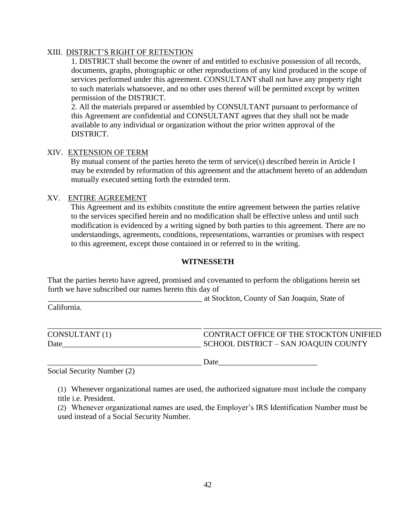### XIII. DISTRICT'S RIGHT OF RETENTION

1. DISTRICT shall become the owner of and entitled to exclusive possession of all records, documents, graphs, photographic or other reproductions of any kind produced in the scope of services performed under this agreement. CONSULTANT shall not have any property right to such materials whatsoever, and no other uses thereof will be permitted except by written permission of the DISTRICT.

2. All the materials prepared or assembled by CONSULTANT pursuant to performance of this Agreement are confidential and CONSULTANT agrees that they shall not be made available to any individual or organization without the prior written approval of the DISTRICT.

### XIV. EXTENSION OF TERM

By mutual consent of the parties hereto the term of service(s) described herein in Article I may be extended by reformation of this agreement and the attachment hereto of an addendum mutually executed setting forth the extended term.

### XV. ENTIRE AGREEMENT

This Agreement and its exhibits constitute the entire agreement between the parties relative to the services specified herein and no modification shall be effective unless and until such modification is evidenced by a writing signed by both parties to this agreement. There are no understandings, agreements, conditions, representations, warranties or promises with respect to this agreement, except those contained in or referred to in the writing.

### **WITNESSETH**

That the parties hereto have agreed, promised and covenanted to perform the obligations herein set forth we have subscribed our names hereto this day of

\_\_\_\_\_\_\_\_\_\_\_\_\_\_\_\_\_\_\_\_\_\_\_\_\_\_\_\_\_\_\_\_\_\_\_\_\_\_\_ at Stockton, County of San Joaquin, State of

California.

| CONSULTANT (1) | CONTRACT OFFICE OF THE STOCKTON UNIFIED |
|----------------|-----------------------------------------|
| Date           | SCHOOL DISTRICT – SAN JOAQUIN COUNTY    |

\_\_\_\_\_\_\_\_\_\_\_\_\_\_\_\_\_\_\_\_\_\_\_\_\_\_\_\_\_\_\_\_\_\_\_\_\_\_\_ Date\_\_\_\_\_\_\_\_\_\_\_\_\_\_\_\_\_\_\_\_\_\_\_\_\_

Social Security Number (2)

(1) Whenever organizational names are used, the authorized signature must include the company title i.e. President.

(2) Whenever organizational names are used, the Employer's IRS Identification Number must be used instead of a Social Security Number.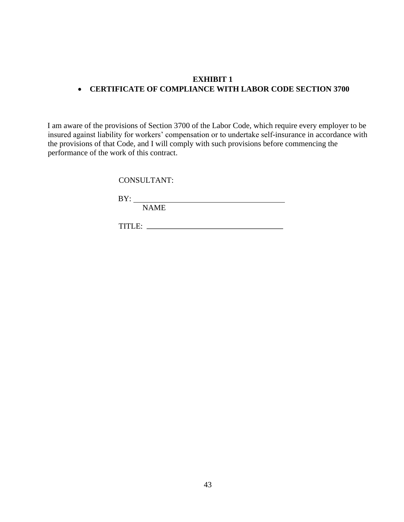### **EXHIBIT 1**  • **CERTIFICATE OF COMPLIANCE WITH LABOR CODE SECTION 3700**

I am aware of the provisions of Section 3700 of the Labor Code, which require every employer to be insured against liability for workers' compensation or to undertake self-insurance in accordance with the provisions of that Code, and I will comply with such provisions before commencing the performance of the work of this contract.

CONSULTANT:

BY:

NAME

TITLE: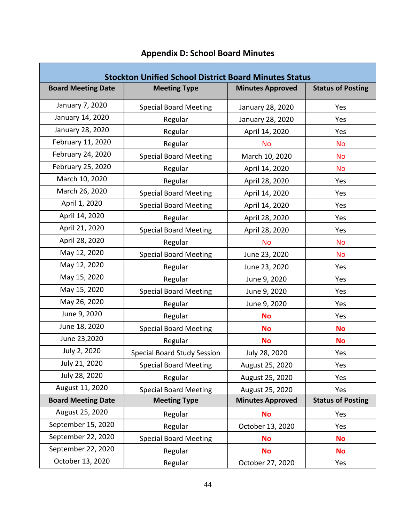| <b>Stockton Unified School District Board Minutes Status</b> |                                    |                         |                          |  |
|--------------------------------------------------------------|------------------------------------|-------------------------|--------------------------|--|
| <b>Board Meeting Date</b>                                    | <b>Meeting Type</b>                | <b>Minutes Approved</b> | <b>Status of Posting</b> |  |
| January 7, 2020                                              | <b>Special Board Meeting</b>       | January 28, 2020        | Yes                      |  |
| January 14, 2020                                             | Regular                            | January 28, 2020        | Yes                      |  |
| January 28, 2020                                             | Regular                            | April 14, 2020          | Yes                      |  |
| February 11, 2020                                            | Regular                            | <b>No</b>               | <b>No</b>                |  |
| February 24, 2020                                            | <b>Special Board Meeting</b>       | March 10, 2020          | <b>No</b>                |  |
| February 25, 2020                                            | Regular                            | April 14, 2020          | <b>No</b>                |  |
| March 10, 2020                                               | Regular                            | April 28, 2020          | Yes                      |  |
| March 26, 2020                                               | <b>Special Board Meeting</b>       | April 14, 2020          | Yes                      |  |
| April 1, 2020                                                | <b>Special Board Meeting</b>       | April 14, 2020          | Yes                      |  |
| April 14, 2020                                               | Regular                            | April 28, 2020          | Yes                      |  |
| April 21, 2020                                               | <b>Special Board Meeting</b>       | April 28, 2020          | Yes                      |  |
| April 28, 2020                                               | Regular                            | <b>No</b>               | <b>No</b>                |  |
| May 12, 2020                                                 | <b>Special Board Meeting</b>       | June 23, 2020           | <b>No</b>                |  |
| May 12, 2020                                                 | Regular                            | June 23, 2020           | Yes                      |  |
| May 15, 2020                                                 | Regular                            | June 9, 2020            | Yes                      |  |
| May 15, 2020                                                 | <b>Special Board Meeting</b>       | June 9, 2020            | Yes                      |  |
| May 26, 2020                                                 | Regular                            | June 9, 2020            | Yes                      |  |
| June 9, 2020                                                 | Regular                            | <b>No</b>               | Yes                      |  |
| June 18, 2020                                                | <b>Special Board Meeting</b>       | <b>No</b>               | <b>No</b>                |  |
| June 23,2020                                                 | Regular                            | <b>No</b>               | <b>No</b>                |  |
| July 2, 2020                                                 | <b>Special Board Study Session</b> | July 28, 2020           | Yes                      |  |
| July 21, 2020                                                | <b>Special Board Meeting</b>       | August 25, 2020         | Yes                      |  |
| July 28, 2020                                                | Regular                            | August 25, 2020         | Yes                      |  |
| August 11, 2020                                              | <b>Special Board Meeting</b>       | August 25, 2020         | Yes                      |  |
| <b>Board Meeting Date</b>                                    | <b>Meeting Type</b>                | <b>Minutes Approved</b> | <b>Status of Posting</b> |  |
| August 25, 2020                                              | Regular                            | <b>No</b>               | Yes                      |  |
| September 15, 2020                                           | Regular                            | October 13, 2020        | Yes                      |  |
| September 22, 2020                                           | <b>Special Board Meeting</b>       | <b>No</b>               | <b>No</b>                |  |
| September 22, 2020                                           | Regular                            | <b>No</b>               | <b>No</b>                |  |
| October 13, 2020                                             | Regular                            | October 27, 2020        | Yes                      |  |

# **Appendix D: School Board Minutes**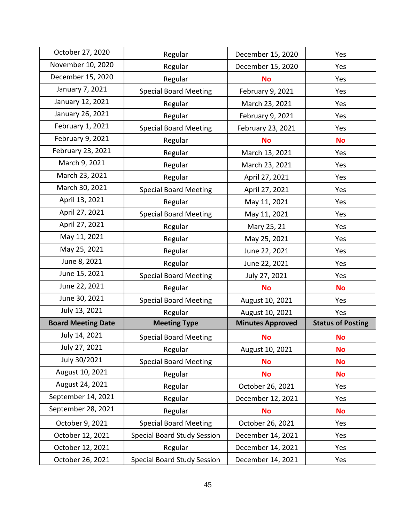| October 27, 2020          | Regular                            | December 15, 2020       | Yes                      |
|---------------------------|------------------------------------|-------------------------|--------------------------|
| November 10, 2020         | Regular                            | December 15, 2020       | Yes                      |
| December 15, 2020         | Regular                            | <b>No</b>               | Yes                      |
| January 7, 2021           | <b>Special Board Meeting</b>       | February 9, 2021        | Yes                      |
| January 12, 2021          | Regular                            | March 23, 2021          | Yes                      |
| January 26, 2021          | Regular                            | February 9, 2021        | Yes                      |
| February 1, 2021          | <b>Special Board Meeting</b>       | February 23, 2021       | Yes                      |
| February 9, 2021          | Regular                            | <b>No</b>               | <b>No</b>                |
| February 23, 2021         | Regular                            | March 13, 2021          | Yes                      |
| March 9, 2021             | Regular                            | March 23, 2021          | Yes                      |
| March 23, 2021            | Regular                            | April 27, 2021          | Yes                      |
| March 30, 2021            | <b>Special Board Meeting</b>       | April 27, 2021          | Yes                      |
| April 13, 2021            | Regular                            | May 11, 2021            | Yes                      |
| April 27, 2021            | <b>Special Board Meeting</b>       | May 11, 2021            | Yes                      |
| April 27, 2021            | Regular                            | Mary 25, 21             | Yes                      |
| May 11, 2021              | Regular                            | May 25, 2021            | Yes                      |
| May 25, 2021              | Regular                            | June 22, 2021           | Yes                      |
| June 8, 2021              | Regular                            | June 22, 2021           | Yes                      |
| June 15, 2021             | <b>Special Board Meeting</b>       | July 27, 2021           | Yes                      |
| June 22, 2021             | Regular                            | <b>No</b>               | <b>No</b>                |
| June 30, 2021             | <b>Special Board Meeting</b>       | August 10, 2021         | Yes                      |
| July 13, 2021             | Regular                            | August 10, 2021         | Yes                      |
| <b>Board Meeting Date</b> | <b>Meeting Type</b>                | <b>Minutes Approved</b> | <b>Status of Posting</b> |
| July 14, 2021             | <b>Special Board Meeting</b>       | <b>No</b>               | <b>No</b>                |
| July 27, 2021             | Regular                            | August 10, 2021         | <b>No</b>                |
| July 30/2021              | <b>Special Board Meeting</b>       | <b>No</b>               | <b>No</b>                |
| August 10, 2021           | Regular                            | <b>No</b>               | <b>No</b>                |
| August 24, 2021           | Regular                            | October 26, 2021        | Yes                      |
| September 14, 2021        | Regular                            | December 12, 2021       | Yes                      |
| September 28, 2021        | Regular                            | <b>No</b>               | <b>No</b>                |
| October 9, 2021           | <b>Special Board Meeting</b>       | October 26, 2021        | Yes                      |
| October 12, 2021          | <b>Special Board Study Session</b> | December 14, 2021       | Yes                      |
| October 12, 2021          | Regular                            | December 14, 2021       | Yes                      |
| October 26, 2021          | <b>Special Board Study Session</b> | December 14, 2021       | Yes                      |